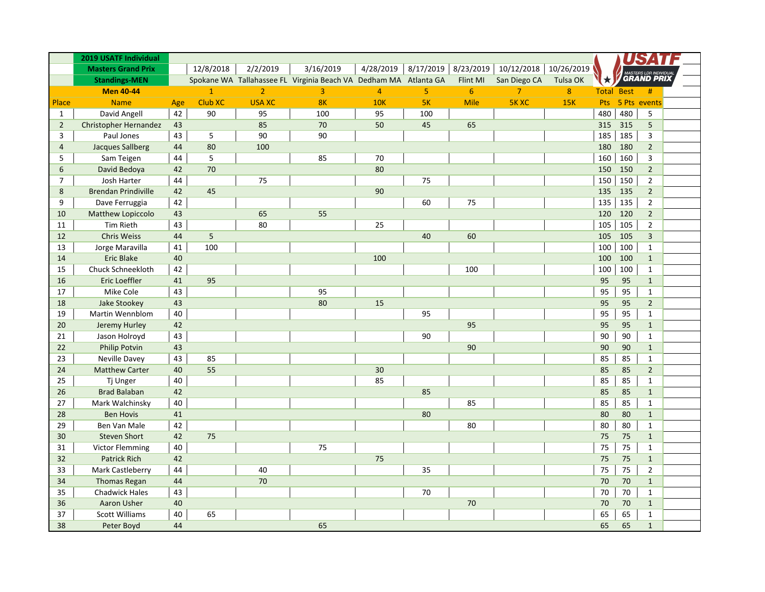|                | 2019 USATF Individual      |     |              |                |                                                                  |                |                |                |                |            |     |                   |                   |  |
|----------------|----------------------------|-----|--------------|----------------|------------------------------------------------------------------|----------------|----------------|----------------|----------------|------------|-----|-------------------|-------------------|--|
|                | <b>Masters Grand Prix</b>  |     | 12/8/2018    | 2/2/2019       | 3/16/2019                                                        | 4/28/2019      | 8/17/2019      | 8/23/2019      | 10/12/2018     | 10/26/2019 |     |                   |                   |  |
|                | <b>Standings-MEN</b>       |     |              |                | Spokane WA Tallahassee FL Virginia Beach VA Dedham MA Atlanta GA |                |                | Flint MI       | San Diego CA   | Tulsa OK   | ★   |                   | <b>GRAND PRIX</b> |  |
|                | <b>Men 40-44</b>           |     | $\mathbf{1}$ | $\overline{2}$ | $\overline{3}$                                                   | $\overline{4}$ | $\overline{5}$ | $6\phantom{1}$ | $\overline{7}$ | 8          |     | <b>Total Best</b> | #                 |  |
| Place          | <b>Name</b>                | Age | Club XC      | <b>USA XC</b>  | 8K                                                               | <b>10K</b>     | 5K             | Mile           | <b>5K XC</b>   | <b>15K</b> | Pts | 5 Pts             | events            |  |
| $\mathbf{1}$   | David Angell               | 42  | 90           | 95             | 100                                                              | 95             | 100            |                |                |            | 480 | 480               | 5                 |  |
| $\overline{2}$ | Christopher Hernandez      | 43  |              | 85             | 70                                                               | 50             | 45             | 65             |                |            | 315 | 315               | 5                 |  |
| 3              | Paul Jones                 | 43  | 5            | 90             | 90                                                               |                |                |                |                |            | 185 | 185               | 3                 |  |
| $\overline{4}$ | <b>Jacques Sallberg</b>    | 44  | 80           | 100            |                                                                  |                |                |                |                |            | 180 | 180               | $\overline{2}$    |  |
| 5              | Sam Teigen                 | 44  | 5            |                | 85                                                               | 70             |                |                |                |            | 160 | 160               | 3                 |  |
| 6              | David Bedoya               | 42  | 70           |                |                                                                  | 80             |                |                |                |            | 150 | 150               | $\overline{2}$    |  |
| $\overline{7}$ | Josh Harter                | 44  |              | 75             |                                                                  |                | 75             |                |                |            | 150 | 150               | $\overline{2}$    |  |
| 8              | <b>Brendan Prindiville</b> | 42  | 45           |                |                                                                  | 90             |                |                |                |            | 135 | 135               | $\overline{2}$    |  |
| 9              | Dave Ferruggia             | 42  |              |                |                                                                  |                | 60             | 75             |                |            | 135 | 135               | $\overline{2}$    |  |
| 10             | <b>Matthew Lopiccolo</b>   | 43  |              | 65             | 55                                                               |                |                |                |                |            | 120 | 120               | $\overline{2}$    |  |
| 11             | <b>Tim Rieth</b>           | 43  |              | 80             |                                                                  | 25             |                |                |                |            | 105 | 105               | $\overline{2}$    |  |
| 12             | <b>Chris Weiss</b>         | 44  | 5            |                |                                                                  |                | 40             | 60             |                |            | 105 | 105               | $\overline{3}$    |  |
| 13             | Jorge Maravilla            | 41  | 100          |                |                                                                  |                |                |                |                |            | 100 | 100               | $\mathbf{1}$      |  |
| 14             | <b>Eric Blake</b>          | 40  |              |                |                                                                  | 100            |                |                |                |            | 100 | 100               | $\mathbf{1}$      |  |
| 15             | Chuck Schneekloth          | 42  |              |                |                                                                  |                |                | 100            |                |            | 100 | 100               | $\mathbf{1}$      |  |
| 16             | <b>Eric Loeffler</b>       | 41  | 95           |                |                                                                  |                |                |                |                |            | 95  | 95                | $\mathbf{1}$      |  |
| 17             | Mike Cole                  | 43  |              |                | 95                                                               |                |                |                |                |            | 95  | 95                | $\mathbf{1}$      |  |
| 18             | Jake Stookey               | 43  |              |                | 80                                                               | 15             |                |                |                |            | 95  | 95                | $\overline{2}$    |  |
| 19             | Martin Wennblom            | 40  |              |                |                                                                  |                | 95             |                |                |            | 95  | 95                | $\mathbf{1}$      |  |
| 20             | Jeremy Hurley              | 42  |              |                |                                                                  |                |                | 95             |                |            | 95  | 95                | $\mathbf{1}$      |  |
| 21             | Jason Holroyd              | 43  |              |                |                                                                  |                | 90             |                |                |            | 90  | 90                | $\mathbf{1}$      |  |
| 22             | <b>Philip Potvin</b>       | 43  |              |                |                                                                  |                |                | 90             |                |            | 90  | 90                | $\mathbf{1}$      |  |
| 23             | Neville Davey              | 43  | 85           |                |                                                                  |                |                |                |                |            | 85  | 85                | $\mathbf{1}$      |  |
| 24             | <b>Matthew Carter</b>      | 40  | 55           |                |                                                                  | 30             |                |                |                |            | 85  | 85                | $\overline{2}$    |  |
| 25             | Tj Unger                   | 40  |              |                |                                                                  | 85             |                |                |                |            | 85  | 85                | $\mathbf{1}$      |  |
| 26             | <b>Brad Balaban</b>        | 42  |              |                |                                                                  |                | 85             |                |                |            | 85  | 85                | $\mathbf{1}$      |  |
| 27             | Mark Walchinsky            | 40  |              |                |                                                                  |                |                | 85             |                |            | 85  | 85                | $\mathbf{1}$      |  |
| 28             | <b>Ben Hovis</b>           | 41  |              |                |                                                                  |                | 80             |                |                |            | 80  | 80                | $\mathbf{1}$      |  |
| 29             | Ben Van Male               | 42  |              |                |                                                                  |                |                | 80             |                |            | 80  | 80                | $\mathbf{1}$      |  |
| 30             | <b>Steven Short</b>        | 42  | 75           |                |                                                                  |                |                |                |                |            | 75  | 75                | $\mathbf{1}$      |  |
| 31             | <b>Victor Flemming</b>     | 40  |              |                | 75                                                               |                |                |                |                |            | 75  | 75                | $\mathbf{1}$      |  |
| 32             | <b>Patrick Rich</b>        | 42  |              |                |                                                                  | 75             |                |                |                |            | 75  | 75                | $\mathbf{1}$      |  |
| 33             | Mark Castleberry           | 44  |              | 40             |                                                                  |                | 35             |                |                |            | 75  | 75                | $\overline{2}$    |  |
| 34             | <b>Thomas Regan</b>        | 44  |              | 70             |                                                                  |                |                |                |                |            | 70  | 70                | $\mathbf{1}$      |  |
| 35             | <b>Chadwick Hales</b>      | 43  |              |                |                                                                  |                | 70             |                |                |            | 70  | 70                | $\mathbf{1}$      |  |
| 36             | <b>Aaron Usher</b>         | 40  |              |                |                                                                  |                |                | 70             |                |            | 70  | 70                | $\mathbf{1}$      |  |
| 37             | <b>Scott Williams</b>      | 40  | 65           |                |                                                                  |                |                |                |                |            | 65  | 65                | $\mathbf{1}$      |  |
| 38             | Peter Boyd                 | 44  |              |                | 65                                                               |                |                |                |                |            | 65  | 65                | $\mathbf 1$       |  |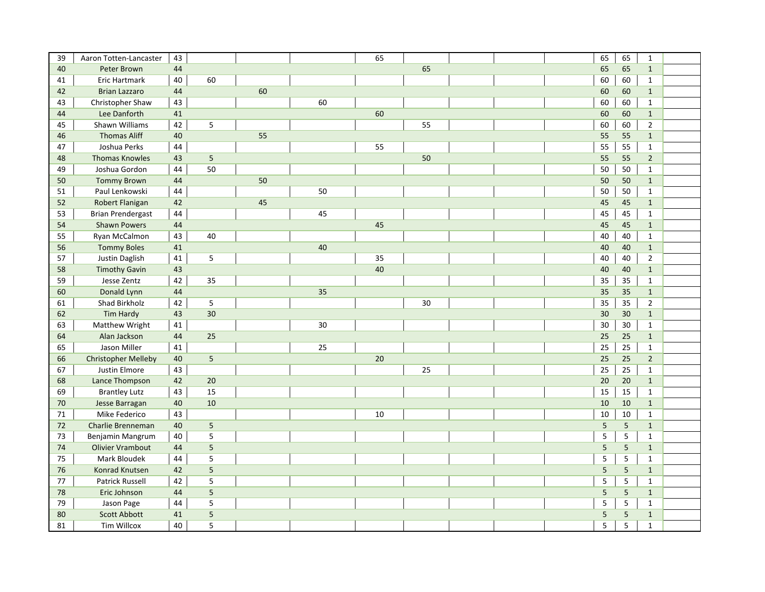| 39     | Aaron Totten-Lancaster     | 43 |             |    |    | 65 |    | 65         | 65             | $\mathbf{1}$   |  |
|--------|----------------------------|----|-------------|----|----|----|----|------------|----------------|----------------|--|
| 40     | Peter Brown                | 44 |             |    |    |    | 65 | 65         | 65             | $\mathbf{1}$   |  |
| 41     | Eric Hartmark              | 40 | 60          |    |    |    |    | 60         | 60             | $\mathbf{1}$   |  |
| 42     | <b>Brian Lazzaro</b>       | 44 |             | 60 |    |    |    | 60         | 60             | $\mathbf{1}$   |  |
| 43     | Christopher Shaw           | 43 |             |    | 60 |    |    | 60         | 60             | $\mathbf{1}$   |  |
| 44     | Lee Danforth               | 41 |             |    |    | 60 |    | 60         | 60             | $\mathbf{1}$   |  |
| 45     | Shawn Williams             | 42 | 5           |    |    |    | 55 | 60         | 60             | $\overline{2}$ |  |
| 46     | <b>Thomas Aliff</b>        | 40 |             | 55 |    |    |    | 55         | 55             | $\mathbf{1}$   |  |
| 47     | Joshua Perks               | 44 |             |    |    | 55 |    | 55         | 55             | $\mathbf{1}$   |  |
| 48     | <b>Thomas Knowles</b>      | 43 | 5           |    |    |    | 50 | 55         | 55             | $\overline{2}$ |  |
| 49     | Joshua Gordon              | 44 | 50          |    |    |    |    | 50         | 50             | $\mathbf{1}$   |  |
| 50     | <b>Tommy Brown</b>         | 44 |             | 50 |    |    |    | 50         | 50             | $\mathbf{1}$   |  |
| 51     | Paul Lenkowski             | 44 |             |    | 50 |    |    | 50         | 50             | $\mathbf{1}$   |  |
| 52     | Robert Flanigan            | 42 |             | 45 |    |    |    | 45         | 45             | $\mathbf{1}$   |  |
| 53     | <b>Brian Prendergast</b>   | 44 |             |    | 45 |    |    | 45         | 45             | $\mathbf{1}$   |  |
| 54     | <b>Shawn Powers</b>        | 44 |             |    |    | 45 |    | 45         | 45             | $\mathbf{1}$   |  |
| 55     | Ryan McCalmon              | 43 | 40          |    |    |    |    | 40         | 40             | $\mathbf{1}$   |  |
| 56     | <b>Tommy Boles</b>         | 41 |             |    | 40 |    |    | 40         | 40             | $\mathbf{1}$   |  |
| 57     | Justin Daglish             | 41 | 5           |    |    | 35 |    | 40         | 40             | $\overline{2}$ |  |
| 58     | <b>Timothy Gavin</b>       | 43 |             |    |    | 40 |    | 40         | 40             | $\mathbf{1}$   |  |
| 59     | Jesse Zentz                | 42 | 35          |    |    |    |    | 35         | 35             | $\mathbf{1}$   |  |
| 60     | Donald Lynn                | 44 |             |    | 35 |    |    | 35         | 35             | $\mathbf{1}$   |  |
| 61     | Shad Birkholz              | 42 | 5           |    |    |    | 30 | 35         | 35             | $\overline{2}$ |  |
| 62     | Tim Hardy                  | 43 | 30          |    |    |    |    | 30         | 30             | $\mathbf{1}$   |  |
| 63     | Matthew Wright             | 41 |             |    | 30 |    |    | 30         | 30             | $\mathbf{1}$   |  |
| 64     | Alan Jackson               | 44 | 25          |    |    |    |    | 25         | 25             | $\mathbf{1}$   |  |
| 65     | Jason Miller               | 41 |             |    | 25 |    |    | 25         | 25             | $\mathbf{1}$   |  |
| 66     | <b>Christopher Melleby</b> | 40 | 5           |    |    | 20 |    | 25         | 25             | $\overline{2}$ |  |
| 67     | Justin Elmore              | 43 |             |    |    |    | 25 | 25         | 25             | $\mathbf{1}$   |  |
| 68     | Lance Thompson             | 42 | 20          |    |    |    |    | 20         | 20             | $\mathbf{1}$   |  |
| 69     | <b>Brantley Lutz</b>       | 43 | 15          |    |    |    |    | 15         | 15             | $\mathbf{1}$   |  |
| $70\,$ | Jesse Barragan             | 40 | 10          |    |    |    |    | 10         | 10             | $\mathbf{1}$   |  |
| 71     | Mike Federico              | 43 |             |    |    | 10 |    | 10         | 10             | $\mathbf{1}$   |  |
| $72\,$ | Charlie Brenneman          | 40 | 5           |    |    |    |    | $\sqrt{5}$ | $\sqrt{5}$     | $\mathbf{1}$   |  |
| 73     | Benjamin Mangrum           | 40 | $\mathsf S$ |    |    |    |    | $\sqrt{5}$ | $\overline{5}$ | $\mathbf{1}$   |  |
| 74     | <b>Olivier Vrambout</b>    | 44 | 5           |    |    |    |    | 5          | $\sqrt{5}$     | $\mathbf{1}$   |  |
| 75     | Mark Bloudek               | 44 | 5           |    |    |    |    | 5          | 5              | $\mathbf{1}$   |  |
| 76     | Konrad Knutsen             | 42 | 5           |    |    |    |    | 5          | 5              | $\mathbf{1}$   |  |
| 77     | <b>Patrick Russell</b>     | 42 | 5           |    |    |    |    | 5          | 5              | $\mathbf{1}$   |  |
| 78     | Eric Johnson               | 44 | 5           |    |    |    |    | 5          | $\overline{5}$ | $\mathbf{1}$   |  |
| 79     | Jason Page                 | 44 | 5           |    |    |    |    | 5          | $\sqrt{5}$     | $\mathbf{1}$   |  |
| 80     | <b>Scott Abbott</b>        | 41 | 5           |    |    |    |    | 5          | 5              | $\mathbf{1}$   |  |
| 81     | <b>Tim Willcox</b>         | 40 | 5           |    |    |    |    | 5          | 5              | $\mathbf{1}$   |  |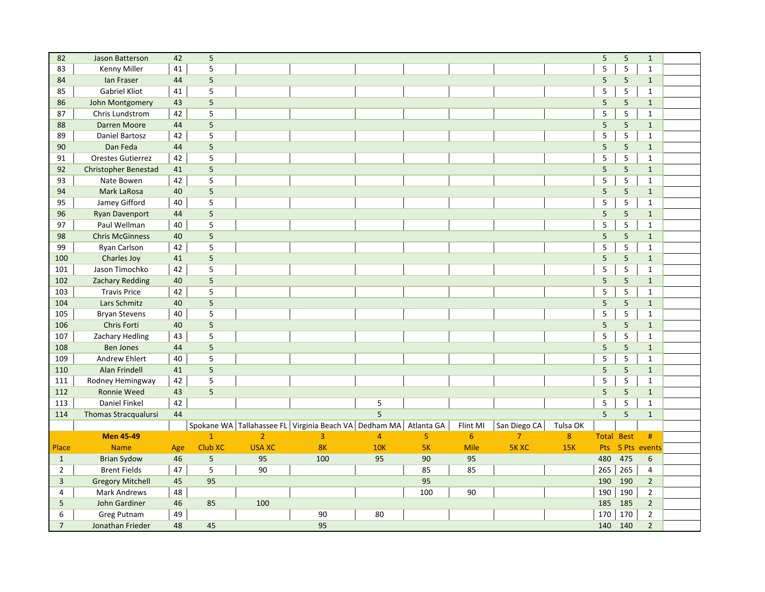| 82             | Jason Batterson         | 42  | $\sqrt{5}$     |                |                                                       |                |                |                |                |          | $\sqrt{5}$     | $\overline{5}$  | $\mathbf{1}$   |  |
|----------------|-------------------------|-----|----------------|----------------|-------------------------------------------------------|----------------|----------------|----------------|----------------|----------|----------------|-----------------|----------------|--|
| 83             | Kenny Miller            | 41  | $\overline{5}$ |                |                                                       |                |                |                |                |          | 5              | 5               | $\mathbf{1}$   |  |
| 84             | lan Fraser              | 44  | 5              |                |                                                       |                |                |                |                |          | 5              | 5               | $\mathbf{1}$   |  |
| 85             | <b>Gabriel Kliot</b>    | 41  | 5              |                |                                                       |                |                |                |                |          | 5              | 5               | $\mathbf{1}$   |  |
| 86             | John Montgomery         | 43  | 5              |                |                                                       |                |                |                |                |          | 5              | 5               | $\mathbf{1}$   |  |
| 87             | Chris Lundstrom         | 42  | 5              |                |                                                       |                |                |                |                |          | 5              | $\overline{5}$  | $\mathbf{1}$   |  |
| 88             | <b>Darren Moore</b>     | 44  | 5              |                |                                                       |                |                |                |                |          | 5              | $5\phantom{a}$  | $\mathbf{1}$   |  |
| 89             | <b>Daniel Bartosz</b>   | 42  | 5              |                |                                                       |                |                |                |                |          | 5              | 5               | $\mathbf{1}$   |  |
| 90             | Dan Feda                | 44  | 5              |                |                                                       |                |                |                |                |          | 5              | $5\phantom{a}$  | $\mathbf{1}$   |  |
| 91             | Orestes Gutierrez       | 42  | 5              |                |                                                       |                |                |                |                |          | 5              | 5               | $\mathbf{1}$   |  |
| 92             | Christopher Benestad    | 41  | 5              |                |                                                       |                |                |                |                |          | 5              | $5\phantom{a}$  | $\mathbf{1}$   |  |
| 93             | Nate Bowen              | 42  | 5              |                |                                                       |                |                |                |                |          | 5              | 5               | $\mathbf{1}$   |  |
| 94             | Mark LaRosa             | 40  | 5              |                |                                                       |                |                |                |                |          | 5              | 5               | $\mathbf{1}$   |  |
| 95             | Jamey Gifford           | 40  | 5              |                |                                                       |                |                |                |                |          | 5              | 5               | $\mathbf{1}$   |  |
| 96             | <b>Ryan Davenport</b>   | 44  | 5              |                |                                                       |                |                |                |                |          | 5              | 5               | $\mathbf{1}$   |  |
| 97             | Paul Wellman            | 40  | 5              |                |                                                       |                |                |                |                |          | 5              | 5               | $\mathbf{1}$   |  |
| 98             | <b>Chris McGinness</b>  | 40  | 5              |                |                                                       |                |                |                |                |          | 5              | $5\phantom{.0}$ | $\mathbf{1}$   |  |
| 99             | Ryan Carlson            | 42  | 5              |                |                                                       |                |                |                |                |          | 5              | $\mathsf S$     | $\mathbf{1}$   |  |
| 100            | Charles Joy             | 41  | 5              |                |                                                       |                |                |                |                |          | 5              | 5               | $\mathbf{1}$   |  |
| 101            | Jason Timochko          | 42  | 5              |                |                                                       |                |                |                |                |          | 5              | $\overline{5}$  | $\mathbf{1}$   |  |
| 102            | <b>Zachary Redding</b>  | 40  | 5              |                |                                                       |                |                |                |                |          | 5              | 5               | $\mathbf{1}$   |  |
| 103            | <b>Travis Price</b>     | 42  | 5              |                |                                                       |                |                |                |                |          | 5              | 5               | $\mathbf{1}$   |  |
| 104            | Lars Schmitz            | 40  | 5              |                |                                                       |                |                |                |                |          | 5              | 5               | $\mathbf{1}$   |  |
| 105            | <b>Bryan Stevens</b>    | 40  | 5              |                |                                                       |                |                |                |                |          | 5              | $\mathsf S$     | $\mathbf{1}$   |  |
| 106            | Chris Forti             | 40  | 5              |                |                                                       |                |                |                |                |          | $\overline{5}$ | $5\phantom{.0}$ | $\mathbf{1}$   |  |
| 107            | Zachary Hedling         | 43  | 5              |                |                                                       |                |                |                |                |          | 5              | $\mathsf S$     | $\mathbf{1}$   |  |
| 108            | <b>Ben Jones</b>        | 44  | 5              |                |                                                       |                |                |                |                |          | 5              | 5               | $\mathbf{1}$   |  |
| 109            | Andrew Ehlert           | 40  | 5              |                |                                                       |                |                |                |                |          | 5              | 5               | $\mathbf{1}$   |  |
| 110            | Alan Frindell           | 41  | 5              |                |                                                       |                |                |                |                |          | 5              | 5               | $\mathbf{1}$   |  |
| 111            | Rodney Hemingway        | 42  | 5              |                |                                                       |                |                |                |                |          | 5              | $\sf 5$         | $\mathbf{1}$   |  |
| 112            | <b>Ronnie Weed</b>      | 43  | 5              |                |                                                       |                |                |                |                |          | 5              | 5               | $\mathbf{1}$   |  |
| 113            | Daniel Finkel           | 42  |                |                |                                                       | 5              |                |                |                |          | 5              | $\mathsf S$     | $\mathbf{1}$   |  |
| 114            | Thomas Stracqualursi    | 44  |                |                |                                                       | 5              |                |                |                |          | 5              | 5               | $\mathbf{1}$   |  |
|                |                         |     |                |                | Spokane WA Tallahassee FL Virginia Beach VA Dedham MA |                | Atlanta GA     | Flint MI       | San Diego CA   | Tulsa OK |                |                 |                |  |
|                | <b>Men 45-49</b>        |     | $\mathbf{1}$   | $\overline{2}$ | 3                                                     | $\overline{4}$ | 5 <sub>1</sub> | 6 <sup>1</sup> | $\overline{7}$ | 8        | <b>Total</b>   | <b>Best</b>     | $\#$           |  |
| Place          | <b>Name</b>             | Age | Club XC        | <b>USA XC</b>  | 8K                                                    | <b>10K</b>     | 5K             | <b>Mile</b>    | <b>5K XC</b>   | 15K      | Pts            |                 | 5 Pts events   |  |
| $\mathbf{1}$   | <b>Brian Sydow</b>      | 46  | 5              | 95             | 100                                                   | 95             | 90             | 95             |                |          | 480            | 475             | 6              |  |
| $\overline{2}$ | <b>Brent Fields</b>     | 47  | 5              | 90             |                                                       |                | 85             | 85             |                |          | 265            | 265             | 4              |  |
| 3              | <b>Gregory Mitchell</b> | 45  | 95             |                |                                                       |                | 95             |                |                |          | 190            | 190             | $\overline{2}$ |  |
| 4              | <b>Mark Andrews</b>     | 48  |                |                |                                                       |                | 100            | 90             |                |          | 190            | 190             | $\overline{2}$ |  |
| 5              | John Gardiner           | 46  | 85             | 100            |                                                       |                |                |                |                |          | 185            | 185             | $\overline{2}$ |  |
| 6              | <b>Greg Putnam</b>      | 49  |                |                | 90                                                    | 80             |                |                |                |          | 170            | 170             | $\mathbf{2}$   |  |
| $\overline{7}$ | Jonathan Frieder        | 48  | 45             |                | 95                                                    |                |                |                |                |          | 140            | 140             | $\overline{2}$ |  |
|                |                         |     |                |                |                                                       |                |                |                |                |          |                |                 |                |  |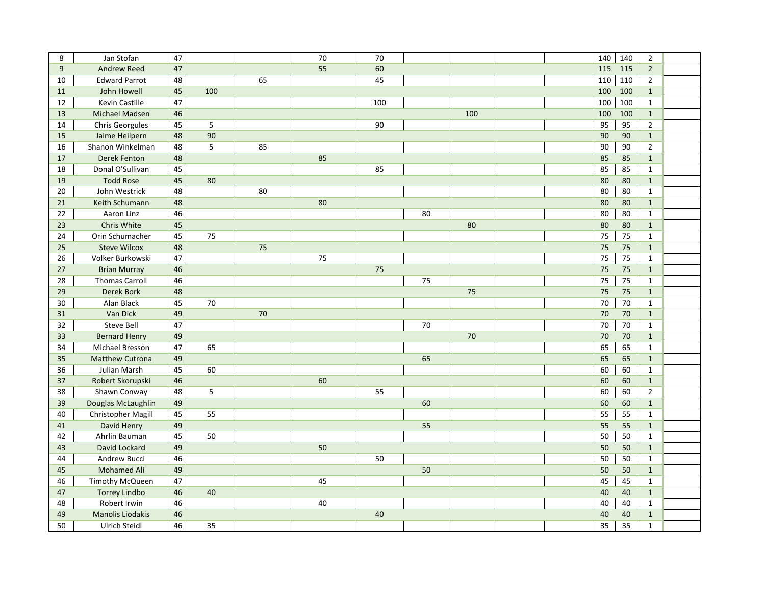| 8  | Jan Stofan              | 47 |     |    | 70 | 70  |    |     | 140 | 140 | $\overline{2}$ |  |
|----|-------------------------|----|-----|----|----|-----|----|-----|-----|-----|----------------|--|
| 9  | <b>Andrew Reed</b>      | 47 |     |    | 55 | 60  |    |     | 115 | 115 | $\overline{2}$ |  |
| 10 | <b>Edward Parrot</b>    | 48 |     | 65 |    | 45  |    |     | 110 | 110 | $\overline{2}$ |  |
| 11 | John Howell             | 45 | 100 |    |    |     |    |     | 100 | 100 | $\mathbf{1}$   |  |
| 12 | <b>Kevin Castille</b>   | 47 |     |    |    | 100 |    |     | 100 | 100 | $\mathbf{1}$   |  |
| 13 | <b>Michael Madsen</b>   | 46 |     |    |    |     |    | 100 | 100 | 100 | $\mathbf{1}$   |  |
| 14 | <b>Chris Georgules</b>  | 45 | 5   |    |    | 90  |    |     | 95  | 95  | $\overline{2}$ |  |
| 15 | Jaime Heilpern          | 48 | 90  |    |    |     |    |     | 90  | 90  | $\mathbf{1}$   |  |
| 16 | Shanon Winkelman        | 48 | 5   | 85 |    |     |    |     | 90  | 90  | $\overline{2}$ |  |
| 17 | <b>Derek Fenton</b>     | 48 |     |    | 85 |     |    |     | 85  | 85  | $\mathbf{1}$   |  |
| 18 | Donal O'Sullivan        | 45 |     |    |    | 85  |    |     | 85  | 85  | $\mathbf{1}$   |  |
| 19 | <b>Todd Rose</b>        | 45 | 80  |    |    |     |    |     | 80  | 80  | $\mathbf{1}$   |  |
| 20 | John Westrick           | 48 |     | 80 |    |     |    |     | 80  | 80  | $\mathbf{1}$   |  |
| 21 | Keith Schumann          | 48 |     |    | 80 |     |    |     | 80  | 80  | $\mathbf{1}$   |  |
| 22 | Aaron Linz              | 46 |     |    |    |     | 80 |     | 80  | 80  | $\mathbf{1}$   |  |
| 23 | Chris White             | 45 |     |    |    |     |    | 80  | 80  | 80  | $\mathbf{1}$   |  |
| 24 | Orin Schumacher         | 45 | 75  |    |    |     |    |     | 75  | 75  | $\mathbf{1}$   |  |
| 25 | <b>Steve Wilcox</b>     | 48 |     | 75 |    |     |    |     | 75  | 75  | $1\,$          |  |
| 26 | Volker Burkowski        | 47 |     |    | 75 |     |    |     | 75  | 75  | $\mathbf{1}$   |  |
| 27 | <b>Brian Murray</b>     | 46 |     |    |    | 75  |    |     | 75  | 75  | $\mathbf{1}$   |  |
| 28 | <b>Thomas Carroll</b>   | 46 |     |    |    |     | 75 |     | 75  | 75  | $\mathbf{1}$   |  |
| 29 | <b>Derek Bork</b>       | 48 |     |    |    |     |    | 75  | 75  | 75  | $\mathbf{1}$   |  |
| 30 | Alan Black              | 45 | 70  |    |    |     |    |     | 70  | 70  | $\mathbf{1}$   |  |
| 31 | Van Dick                | 49 |     | 70 |    |     |    |     | 70  | 70  | $\mathbf{1}$   |  |
| 32 | <b>Steve Bell</b>       | 47 |     |    |    |     | 70 |     | 70  | 70  | $\mathbf{1}$   |  |
| 33 | <b>Bernard Henry</b>    | 49 |     |    |    |     |    | 70  | 70  | 70  | $\mathbf{1}$   |  |
| 34 | Michael Bresson         | 47 | 65  |    |    |     |    |     | 65  | 65  | $\mathbf{1}$   |  |
| 35 | <b>Matthew Cutrona</b>  | 49 |     |    |    |     | 65 |     | 65  | 65  | $\mathbf{1}$   |  |
| 36 | Julian Marsh            | 45 | 60  |    |    |     |    |     | 60  | 60  | $\mathbf{1}$   |  |
| 37 | Robert Skorupski        | 46 |     |    | 60 |     |    |     | 60  | 60  | $\mathbf{1}$   |  |
| 38 | Shawn Conway            | 48 | 5   |    |    | 55  |    |     | 60  | 60  | $\overline{2}$ |  |
| 39 | Douglas McLaughlin      | 49 |     |    |    |     | 60 |     | 60  | 60  | $\mathbf{1}$   |  |
| 40 | Christopher Magill      | 45 | 55  |    |    |     |    |     | 55  | 55  | $\mathbf{1}$   |  |
| 41 | David Henry             | 49 |     |    |    |     | 55 |     | 55  | 55  | $\mathbf{1}$   |  |
| 42 | Ahrlin Bauman           | 45 | 50  |    |    |     |    |     | 50  | 50  | $\mathbf{1}$   |  |
| 43 | David Lockard           | 49 |     |    | 50 |     |    |     | 50  | 50  | $\mathbf{1}$   |  |
| 44 | Andrew Bucci            | 46 |     |    |    | 50  |    |     | 50  | 50  | $\mathbf{1}$   |  |
| 45 | <b>Mohamed Ali</b>      | 49 |     |    |    |     | 50 |     | 50  | 50  | $\mathbf{1}$   |  |
| 46 | Timothy McQueen         | 47 |     |    | 45 |     |    |     | 45  | 45  | $\mathbf 1$    |  |
| 47 | <b>Torrey Lindbo</b>    | 46 | 40  |    |    |     |    |     | 40  | 40  | $\mathbf{1}$   |  |
| 48 | Robert Irwin            | 46 |     |    | 40 |     |    |     | 40  | 40  | $\mathbf{1}$   |  |
| 49 | <b>Manolis Liodakis</b> | 46 |     |    |    | 40  |    |     | 40  | 40  | $1\,$          |  |
| 50 | Ulrich Steidl           | 46 | 35  |    |    |     |    |     | 35  | 35  | $\mathbf{1}$   |  |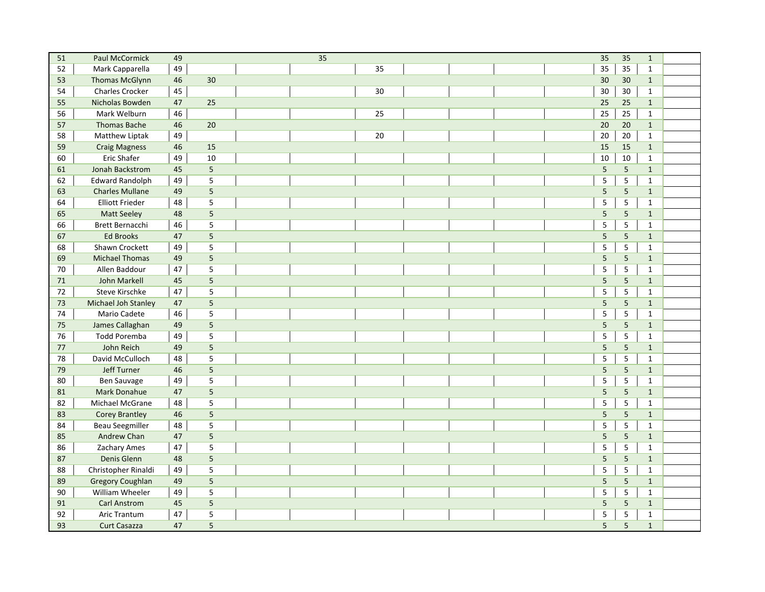| 51     | <b>Paul McCormick</b>   | 49 |                | $\overline{35}$ | 35             | 35             | $\mathbf 1$  |  |
|--------|-------------------------|----|----------------|-----------------|----------------|----------------|--------------|--|
| 52     | Mark Capparella         | 49 |                | 35              | 35             | 35             | $\mathbf 1$  |  |
| 53     | Thomas McGlynn          | 46 | 30             |                 | 30             | 30             | $\mathbf 1$  |  |
| 54     | Charles Crocker         | 45 |                | 30              | 30             | 30             | $\mathbf{1}$ |  |
| 55     | Nicholas Bowden         | 47 | 25             |                 | 25             | 25             | $\mathbf{1}$ |  |
| 56     | Mark Welburn            | 46 |                | 25              | 25             | 25             | $\mathbf{1}$ |  |
| 57     | <b>Thomas Bache</b>     | 46 | 20             |                 | 20             | 20             | $\mathbf{1}$ |  |
| 58     | Matthew Liptak          | 49 |                | 20              | 20             | 20             | $\mathbf{1}$ |  |
| 59     | <b>Craig Magness</b>    | 46 | 15             |                 | 15             | 15             | $\mathbf{1}$ |  |
| 60     | <b>Eric Shafer</b>      | 49 | 10             |                 | 10             | 10             | $\mathbf{1}$ |  |
| 61     | Jonah Backstrom         | 45 | $\mathsf S$    |                 | 5              | 5              | $\mathbf{1}$ |  |
| 62     | <b>Edward Randolph</b>  | 49 | 5              |                 | 5              | 5              | $\mathbf{1}$ |  |
| 63     | <b>Charles Mullane</b>  | 49 | 5              |                 | 5              | $\overline{5}$ | $\mathbf{1}$ |  |
| 64     | <b>Elliott Frieder</b>  | 48 | 5              |                 | 5              | $\sqrt{5}$     | $\mathbf{1}$ |  |
| 65     | <b>Matt Seeley</b>      | 48 | $\overline{5}$ |                 | $\sqrt{5}$     | $\sqrt{5}$     | $\mathbf{1}$ |  |
| 66     | Brett Bernacchi         | 46 | 5              |                 | 5              | $\overline{5}$ | $\mathbf{1}$ |  |
| 67     | <b>Ed Brooks</b>        | 47 | 5              |                 | 5              | $\overline{5}$ | $\mathbf{1}$ |  |
| 68     | Shawn Crockett          | 49 | 5              |                 | 5              | $\sqrt{5}$     | $\mathbf{1}$ |  |
| 69     | <b>Michael Thomas</b>   | 49 | 5              |                 | 5              | 5              | $\mathbf{1}$ |  |
| 70     | Allen Baddour           | 47 | 5              |                 | 5              | $\sqrt{5}$     | $\mathbf{1}$ |  |
| 71     | John Markell            | 45 | 5              |                 | 5              | $5\phantom{a}$ | $\mathbf{1}$ |  |
| 72     | Steve Kirschke          | 47 | 5              |                 | 5              | $\sqrt{5}$     | $\mathbf{1}$ |  |
| $73\,$ | Michael Joh Stanley     | 47 | 5              |                 | 5              | 5              | $\mathbf{1}$ |  |
| 74     | Mario Cadete            | 46 | 5              |                 | 5              | 5              | $\mathbf 1$  |  |
| 75     | James Callaghan         | 49 | 5              |                 | $\overline{5}$ | $5\phantom{a}$ | $\mathbf{1}$ |  |
| 76     | <b>Todd Poremba</b>     | 49 | 5              |                 | 5              | $\sqrt{5}$     | $\mathbf{1}$ |  |
| 77     | John Reich              | 49 | 5              |                 | 5              | 5              | $\mathbf{1}$ |  |
| 78     | David McCulloch         | 48 | 5              |                 | 5              | $\sqrt{5}$     | $\mathbf{1}$ |  |
| 79     | Jeff Turner             | 46 | 5              |                 | 5              | $5\phantom{.}$ | $\mathbf{1}$ |  |
| 80     | <b>Ben Sauvage</b>      | 49 | 5              |                 | 5              | $\mathsf S$    | $\mathbf{1}$ |  |
| 81     | Mark Donahue            | 47 | 5              |                 | $\sqrt{5}$     | 5              | $\mathbf{1}$ |  |
| 82     | Michael McGrane         | 48 | $\mathsf S$    |                 | 5              | $\sqrt{5}$     | $\mathbf{1}$ |  |
| 83     | <b>Corey Brantley</b>   | 46 | $\overline{5}$ |                 | $\sqrt{5}$     | 5              | $\mathbf{1}$ |  |
| 84     | <b>Beau Seegmiller</b>  | 48 | 5              |                 | 5              | $\sqrt{5}$     | $\mathbf{1}$ |  |
| 85     | <b>Andrew Chan</b>      | 47 | 5              |                 | 5              | 5              | $\mathbf{1}$ |  |
| 86     | Zachary Ames            | 47 | 5              |                 | 5              | 5              | $\mathbf{1}$ |  |
| 87     | Denis Glenn             | 48 | 5              |                 | $\overline{5}$ | $5\phantom{a}$ | $\mathbf{1}$ |  |
| 88     | Christopher Rinaldi     | 49 | 5              |                 | $\overline{5}$ | $\overline{5}$ | $\mathbf{1}$ |  |
| 89     | <b>Gregory Coughlan</b> | 49 | 5              |                 | 5              | $\overline{5}$ | $\mathbf{1}$ |  |
| 90     | William Wheeler         | 49 | 5              |                 | 5              | $\overline{5}$ | $\mathbf{1}$ |  |
| 91     | <b>Carl Anstrom</b>     | 45 | $\overline{5}$ |                 | 5              | $\sqrt{5}$     | $\mathbf{1}$ |  |
| 92     | <b>Aric Trantum</b>     | 47 | 5              |                 | 5              | $\sqrt{5}$     | $\mathbf 1$  |  |
| 93     | <b>Curt Casazza</b>     | 47 | 5              |                 | 5              | 5              | $\mathbf 1$  |  |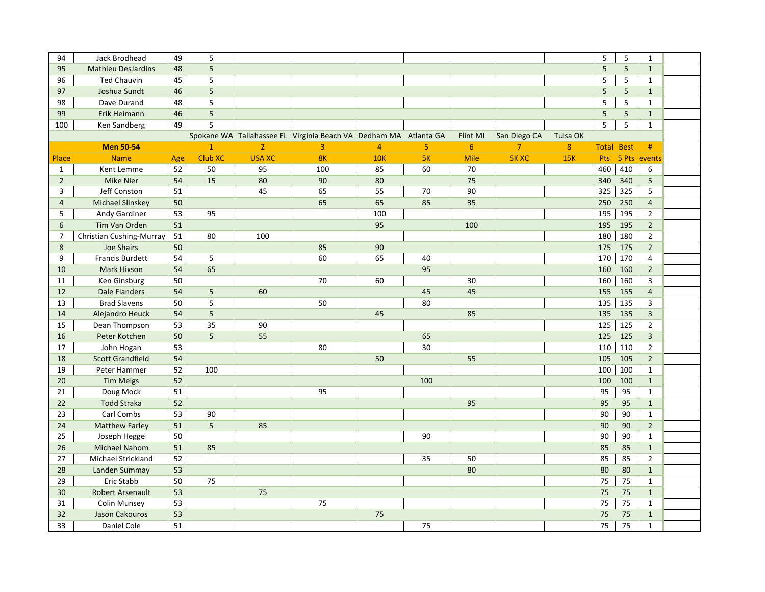| 94             | Jack Brodhead             | 49  | 5              |                |                                                                  |                |                |             |                |          | 5                 | 5   | $\mathbf{1}$            |  |
|----------------|---------------------------|-----|----------------|----------------|------------------------------------------------------------------|----------------|----------------|-------------|----------------|----------|-------------------|-----|-------------------------|--|
| 95             | <b>Mathieu DesJardins</b> | 48  | 5              |                |                                                                  |                |                |             |                |          | 5                 | 5   | $\mathbf{1}$            |  |
| 96             | <b>Ted Chauvin</b>        | 45  | 5              |                |                                                                  |                |                |             |                |          | 5                 | 5   | $\mathbf{1}$            |  |
| 97             | Joshua Sundt              | 46  | 5              |                |                                                                  |                |                |             |                |          | 5                 | 5   | $\mathbf{1}$            |  |
| 98             | Dave Durand               | 48  | 5              |                |                                                                  |                |                |             |                |          | 5                 | 5   | $\mathbf{1}$            |  |
| 99             | Erik Heimann              | 46  | $\overline{5}$ |                |                                                                  |                |                |             |                |          | 5                 | 5   | $\mathbf{1}$            |  |
| 100            | Ken Sandberg              | 49  | 5              |                |                                                                  |                |                |             |                |          | 5                 | 5   | $\mathbf{1}$            |  |
|                |                           |     |                |                | Spokane WA Tallahassee FL Virginia Beach VA Dedham MA Atlanta GA |                |                | Flint MI    | San Diego CA   | Tulsa OK |                   |     |                         |  |
|                | <b>Men 50-54</b>          |     | $\overline{1}$ | $\overline{2}$ | $\overline{3}$                                                   | $\overline{4}$ | 5 <sup>1</sup> | 6           | $\overline{7}$ | 8        | <b>Total Best</b> |     | #                       |  |
| Place          | <b>Name</b>               | Age | Club XC        | <b>USA XC</b>  | 8 <sub>K</sub>                                                   | 10K            | 5K             | <b>Mile</b> | <b>5K XC</b>   | 15K      | Pts               |     | 5 Pts events            |  |
| $\mathbf{1}$   | Kent Lemme                | 52  | 50             | 95             | 100                                                              | 85             | 60             | 70          |                |          | 460               | 410 | 6                       |  |
| $\overline{2}$ | <b>Mike Nier</b>          | 54  | 15             | 80             | 90                                                               | 80             |                | 75          |                |          | 340               | 340 | 5                       |  |
| 3              | Jeff Conston              | 51  |                | 45             | 65                                                               | 55             | 70             | 90          |                |          | 325               | 325 | 5                       |  |
| 4              | <b>Michael Slinskey</b>   | 50  |                |                | 65                                                               | 65             | 85             | 35          |                |          | 250               | 250 | $\overline{4}$          |  |
| 5              | Andy Gardiner             | 53  | 95             |                |                                                                  | 100            |                |             |                |          | 195               | 195 | $\overline{2}$          |  |
| 6              | Tim Van Orden             | 51  |                |                |                                                                  | 95             |                | 100         |                |          | 195               | 195 | $\overline{2}$          |  |
| $\overline{7}$ | Christian Cushing-Murray  | 51  | 80             | 100            |                                                                  |                |                |             |                |          | 180               | 180 | $\overline{2}$          |  |
| 8              | Joe Shairs                | 50  |                |                | 85                                                               | 90             |                |             |                |          | 175               | 175 | $\overline{2}$          |  |
| 9              | Francis Burdett           | 54  | 5              |                | 60                                                               | 65             | 40             |             |                |          | 170               | 170 | 4                       |  |
| 10             | Mark Hixson               | 54  | 65             |                |                                                                  |                | 95             |             |                |          | 160               | 160 | $\overline{2}$          |  |
| 11             | Ken Ginsburg              | 50  |                |                | 70                                                               | 60             |                | 30          |                |          | 160               | 160 | 3                       |  |
| 12             | <b>Dale Flanders</b>      | 54  | 5              | 60             |                                                                  |                | 45             | 45          |                |          | 155               | 155 | $\overline{4}$          |  |
| 13             | <b>Brad Slavens</b>       | 50  | 5              |                | 50                                                               |                | 80             |             |                |          | 135               | 135 | 3                       |  |
| 14             | Alejandro Heuck           | 54  | 5              |                |                                                                  | 45             |                | 85          |                |          | 135               | 135 | $\overline{\mathbf{3}}$ |  |
| 15             | Dean Thompson             | 53  | 35             | 90             |                                                                  |                |                |             |                |          | 125               | 125 | $\overline{2}$          |  |
| 16             | Peter Kotchen             | 50  | 5              | 55             |                                                                  |                | 65             |             |                |          | 125               | 125 | 3                       |  |
| 17             | John Hogan                | 53  |                |                | 80                                                               |                | 30             |             |                |          | 110               | 110 | $\overline{2}$          |  |
| 18             | <b>Scott Grandfield</b>   | 54  |                |                |                                                                  | 50             |                | 55          |                |          | 105               | 105 | $\overline{2}$          |  |
| 19             | Peter Hammer              | 52  | 100            |                |                                                                  |                |                |             |                |          | 100               | 100 | $\mathbf{1}$            |  |
| 20             | <b>Tim Meigs</b>          | 52  |                |                |                                                                  |                | 100            |             |                |          | 100               | 100 | $\mathbf{1}$            |  |
| 21             | Doug Mock                 | 51  |                |                | 95                                                               |                |                |             |                |          | 95                | 95  | $\mathbf{1}$            |  |
| 22             | <b>Todd Straka</b>        | 52  |                |                |                                                                  |                |                | 95          |                |          | 95                | 95  | $\mathbf{1}$            |  |
| 23             | Carl Combs                | 53  | 90             |                |                                                                  |                |                |             |                |          | 90                | 90  | $\mathbf{1}$            |  |
| 24             | <b>Matthew Farley</b>     | 51  | 5              | 85             |                                                                  |                |                |             |                |          | 90                | 90  | $\overline{2}$          |  |
| 25             | Joseph Hegge              | 50  |                |                |                                                                  |                | 90             |             |                |          | 90                | 90  | $\mathbf{1}$            |  |
| 26             | <b>Michael Nahom</b>      | 51  | 85             |                |                                                                  |                |                |             |                |          | 85                | 85  | $\mathbf{1}$            |  |
| 27             | Michael Strickland        | 52  |                |                |                                                                  |                | 35             | 50          |                |          | 85                | 85  | $\overline{2}$          |  |
| 28             | Landen Summay             | 53  |                |                |                                                                  |                |                | 80          |                |          | 80                | 80  | $\mathbf{1}$            |  |
| 29             | Eric Stabb                | 50  | 75             |                |                                                                  |                |                |             |                |          | 75                | 75  | $\mathbf{1}$            |  |
| 30             | <b>Robert Arsenault</b>   | 53  |                | 75             |                                                                  |                |                |             |                |          | 75                | 75  | $\mathbf{1}$            |  |
| 31             | <b>Colin Munsey</b>       | 53  |                |                | 75                                                               |                |                |             |                |          | 75                | 75  | $\mathbf{1}$            |  |
| 32             | Jason Cakouros            | 53  |                |                |                                                                  | 75             |                |             |                |          | 75                | 75  | $\mathbf{1}$            |  |
| 33             | Daniel Cole               | 51  |                |                |                                                                  |                | 75             |             |                |          | 75                | 75  | $\mathbf{1}$            |  |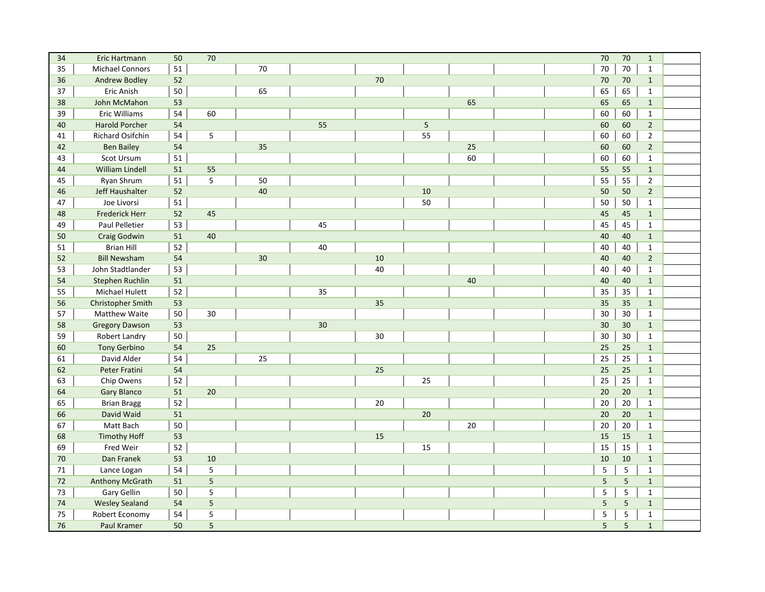| 34 | Eric Hartmann            | 50 | 70             |    |    |    |             |    | 70     | 70              | $\mathbf{1}$   |  |
|----|--------------------------|----|----------------|----|----|----|-------------|----|--------|-----------------|----------------|--|
| 35 | <b>Michael Connors</b>   | 51 |                | 70 |    |    |             |    | 70     | 70              | $\mathbf{1}$   |  |
| 36 | <b>Andrew Bodley</b>     | 52 |                |    |    | 70 |             |    | 70     | 70              | $\mathbf{1}$   |  |
| 37 | Eric Anish               | 50 |                | 65 |    |    |             |    | 65     | 65              | $\mathbf{1}$   |  |
| 38 | John McMahon             | 53 |                |    |    |    |             | 65 | 65     | 65              | $\mathbf{1}$   |  |
| 39 | Eric Williams            | 54 | 60             |    |    |    |             |    | 60     | 60              | $\mathbf{1}$   |  |
| 40 | <b>Harold Porcher</b>    | 54 |                |    | 55 |    | $\mathsf S$ |    | 60     | 60              | $\overline{2}$ |  |
| 41 | Richard Osifchin         | 54 | 5              |    |    |    | 55          |    | 60     | 60              | $\overline{2}$ |  |
| 42 | <b>Ben Bailey</b>        | 54 |                | 35 |    |    |             | 25 | 60     | 60              | $\overline{2}$ |  |
| 43 | Scot Ursum               | 51 |                |    |    |    |             | 60 | 60     | 60              | $\mathbf{1}$   |  |
| 44 | <b>William Lindell</b>   | 51 | 55             |    |    |    |             |    | 55     | 55              | $\mathbf{1}$   |  |
| 45 | Ryan Shrum               | 51 | 5              | 50 |    |    |             |    | 55     | 55              | $\overline{2}$ |  |
| 46 | Jeff Haushalter          | 52 |                | 40 |    |    | 10          |    | 50     | 50              | $\overline{2}$ |  |
| 47 | Joe Livorsi              | 51 |                |    |    |    | 50          |    | 50     | 50              | $\mathbf{1}$   |  |
| 48 | <b>Frederick Herr</b>    | 52 | 45             |    |    |    |             |    | 45     | 45              | $\mathbf{1}$   |  |
| 49 | Paul Pelletier           | 53 |                |    | 45 |    |             |    | 45     | 45              | $\mathbf{1}$   |  |
| 50 | <b>Craig Godwin</b>      | 51 | 40             |    |    |    |             |    | 40     | 40              | $\mathbf{1}$   |  |
| 51 | <b>Brian Hill</b>        | 52 |                |    | 40 |    |             |    | 40     | 40              | $\mathbf{1}$   |  |
| 52 | <b>Bill Newsham</b>      | 54 |                | 30 |    | 10 |             |    | 40     | 40              | $\overline{2}$ |  |
| 53 | John Stadtlander         | 53 |                |    |    | 40 |             |    | 40     | 40              | $\mathbf{1}$   |  |
| 54 | Stephen Ruchlin          | 51 |                |    |    |    |             | 40 | 40     | 40              | $\mathbf 1$    |  |
| 55 | Michael Hulett           | 52 |                |    | 35 |    |             |    | 35     | 35              | $\mathbf{1}$   |  |
| 56 | <b>Christopher Smith</b> | 53 |                |    |    | 35 |             |    | 35     | 35              | $\mathbf 1$    |  |
| 57 | Matthew Waite            | 50 | 30             |    |    |    |             |    | 30     | 30              | $\mathbf{1}$   |  |
| 58 | <b>Gregory Dawson</b>    | 53 |                |    | 30 |    |             |    | 30     | 30              | $\mathbf{1}$   |  |
| 59 | Robert Landry            | 50 |                |    |    | 30 |             |    | 30     | 30              | $\mathbf{1}$   |  |
| 60 | <b>Tony Gerbino</b>      | 54 | 25             |    |    |    |             |    | 25     | 25              | $\mathbf{1}$   |  |
| 61 | David Alder              | 54 |                | 25 |    |    |             |    | 25     | 25              | $\mathbf{1}$   |  |
| 62 | Peter Fratini            | 54 |                |    |    | 25 |             |    | 25     | 25              | $\mathbf{1}$   |  |
| 63 | Chip Owens               | 52 |                |    |    |    | 25          |    | 25     | 25              | $\mathbf{1}$   |  |
| 64 | <b>Gary Blanco</b>       | 51 | 20             |    |    |    |             |    | 20     | 20              | $\mathbf{1}$   |  |
| 65 | <b>Brian Bragg</b>       | 52 |                |    |    | 20 |             |    | $20\,$ | 20              | $\mathbf{1}$   |  |
| 66 | David Waid               | 51 |                |    |    |    | 20          |    | 20     | 20              | $\mathbf{1}$   |  |
| 67 | Matt Bach                | 50 |                |    |    |    |             | 20 | 20     | 20              | $\mathbf{1}$   |  |
| 68 | <b>Timothy Hoff</b>      | 53 |                |    |    | 15 |             |    | 15     | 15              | $\mathbf{1}$   |  |
| 69 | Fred Weir                | 52 |                |    |    |    | 15          |    | 15     | 15              | $\mathbf{1}$   |  |
| 70 | Dan Franek               | 53 | 10             |    |    |    |             |    | 10     | 10              | $\mathbf{1}$   |  |
| 71 | Lance Logan              | 54 | 5              |    |    |    |             |    | 5      | $\sqrt{5}$      | $\mathbf{1}$   |  |
| 72 | <b>Anthony McGrath</b>   | 51 | $\overline{5}$ |    |    |    |             |    | 5      | $5\phantom{.0}$ | $\mathbf{1}$   |  |
| 73 | Gary Gellin              | 50 | 5              |    |    |    |             |    | 5      | $\sqrt{5}$      | $\mathbf{1}$   |  |
| 74 | <b>Wesley Sealand</b>    | 54 | 5              |    |    |    |             |    | 5      | $\sqrt{5}$      | $\mathbf 1$    |  |
| 75 | Robert Economy           | 54 | 5              |    |    |    |             |    | 5      | $\sqrt{5}$      | $\mathbf{1}$   |  |
| 76 | Paul Kramer              | 50 | 5              |    |    |    |             |    | 5      | $\sqrt{5}$      | $\mathbf{1}$   |  |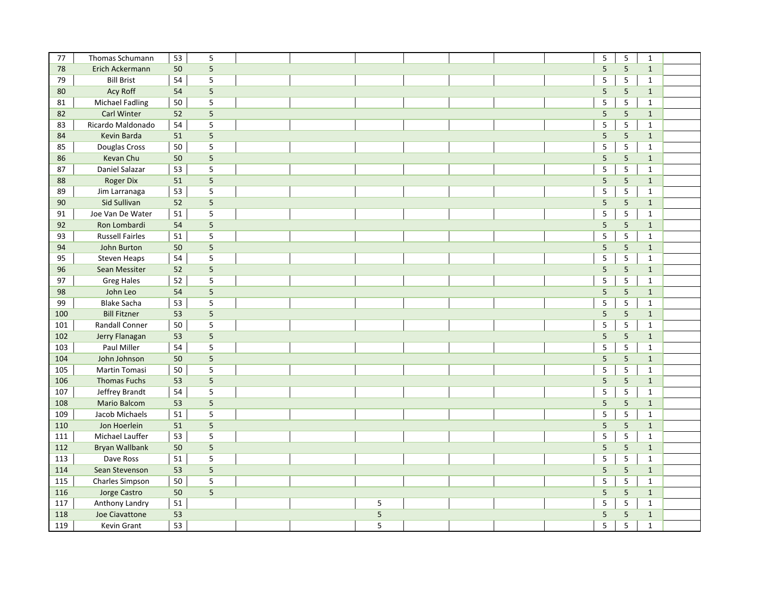| 77  | Thomas Schumann        | 53 | 5                       |   |  | 5              | $\sf 5$         | $\mathbf{1}$ |  |
|-----|------------------------|----|-------------------------|---|--|----------------|-----------------|--------------|--|
| 78  | Erich Ackermann        | 50 | $\overline{\mathbf{5}}$ |   |  | 5              | $\overline{5}$  | $\mathbf{1}$ |  |
| 79  | <b>Bill Brist</b>      | 54 | 5                       |   |  | 5              | $\sqrt{5}$      | $\mathbf{1}$ |  |
| 80  | Acy Roff               | 54 | 5                       |   |  | 5              | $\overline{5}$  | $\mathbf{1}$ |  |
| 81  | <b>Michael Fadling</b> | 50 | 5                       |   |  | 5              | $\overline{5}$  | $\mathbf{1}$ |  |
| 82  | <b>Carl Winter</b>     | 52 | $\overline{5}$          |   |  | $\overline{5}$ | $\overline{5}$  | $\mathbf{1}$ |  |
| 83  | Ricardo Maldonado      | 54 | 5                       |   |  | 5              | 5               | $\mathbf{1}$ |  |
| 84  | Kevin Barda            | 51 | 5                       |   |  | 5              | 5               | $\mathbf{1}$ |  |
| 85  | Douglas Cross          | 50 | 5                       |   |  | 5              | $\sqrt{5}$      | $\mathbf 1$  |  |
| 86  | Kevan Chu              | 50 | 5                       |   |  | $\overline{5}$ | $\overline{5}$  | $\mathbf 1$  |  |
| 87  | Daniel Salazar         | 53 | 5                       |   |  | 5              | $\sqrt{5}$      | $\mathbf{1}$ |  |
| 88  | <b>Roger Dix</b>       | 51 | 5                       |   |  | 5              | $\overline{5}$  | $\mathbf 1$  |  |
| 89  | Jim Larranaga          | 53 | 5                       |   |  | 5              | $\sqrt{5}$      | $\mathbf{1}$ |  |
| 90  | Sid Sullivan           | 52 | 5                       |   |  | 5              | $5\phantom{.}$  | $\mathbf{1}$ |  |
| 91  | Joe Van De Water       | 51 | 5                       |   |  | 5              | $\sqrt{5}$      | $\mathbf{1}$ |  |
| 92  | Ron Lombardi           | 54 | $\sqrt{5}$              |   |  | $\sqrt{5}$     | 5               | $\mathbf{1}$ |  |
| 93  | <b>Russell Fairles</b> | 51 | $\overline{\mathbf{5}}$ |   |  | 5              | $\sqrt{5}$      | $\mathbf 1$  |  |
| 94  | John Burton            | 50 | 5                       |   |  | $\overline{5}$ | 5               | $\mathbf{1}$ |  |
| 95  | <b>Steven Heaps</b>    | 54 | $\mathsf S$             |   |  | $\mathsf S$    | $\sqrt{5}$      | $\mathbf{1}$ |  |
| 96  | Sean Messiter          | 52 | $\overline{5}$          |   |  | 5              | $\overline{5}$  | $\mathbf{1}$ |  |
| 97  | <b>Greg Hales</b>      | 52 | 5                       |   |  | 5              | $\sqrt{5}$      | $\mathbf{1}$ |  |
| 98  | John Leo               | 54 | 5                       |   |  | 5              | $5\phantom{a}$  | $\mathbf{1}$ |  |
| 99  | <b>Blake Sacha</b>     | 53 | 5                       |   |  | 5              | $\sqrt{5}$      | $\mathbf{1}$ |  |
| 100 | <b>Bill Fitzner</b>    | 53 | $\overline{5}$          |   |  | 5              | $\sqrt{5}$      | $\mathbf{1}$ |  |
| 101 | <b>Randall Conner</b>  | 50 | $\mathsf S$             |   |  | 5              | $\sqrt{5}$      | $\mathbf{1}$ |  |
| 102 | Jerry Flanagan         | 53 | 5                       |   |  | 5              | $\overline{5}$  | $\mathbf{1}$ |  |
| 103 | <b>Paul Miller</b>     | 54 | 5                       |   |  | $\overline{5}$ | $\overline{5}$  | $\mathbf 1$  |  |
| 104 | John Johnson           | 50 | 5                       |   |  | 5              | $\overline{5}$  | $\mathbf{1}$ |  |
| 105 | <b>Martin Tomasi</b>   | 50 | 5                       |   |  | 5              | 5               | $\mathbf{1}$ |  |
| 106 | <b>Thomas Fuchs</b>    | 53 | 5                       |   |  | 5              | $5\phantom{a}$  | $\mathbf 1$  |  |
| 107 | Jeffrey Brandt         | 54 | 5                       |   |  | 5              | $\overline{5}$  | $\mathbf{1}$ |  |
| 108 | <b>Mario Balcom</b>    | 53 | 5                       |   |  | 5              | $5\phantom{.0}$ | $\mathbf{1}$ |  |
| 109 | Jacob Michaels         | 51 | 5                       |   |  | 5              | $\sqrt{5}$      | $\mathbf{1}$ |  |
| 110 | Jon Hoerlein           | 51 | 5                       |   |  | 5              | $\sqrt{5}$      | $\mathbf{1}$ |  |
| 111 | Michael Lauffer        | 53 | 5                       |   |  | 5              | $\overline{5}$  | $\mathbf{1}$ |  |
| 112 | <b>Bryan Wallbank</b>  | 50 | 5                       |   |  | 5              | $\overline{5}$  | $\mathbf{1}$ |  |
| 113 | Dave Ross              | 51 | 5                       |   |  | 5              | $\sf 5$         | $\mathbf{1}$ |  |
| 114 | Sean Stevenson         | 53 | 5                       |   |  | 5              | $5\phantom{.0}$ | $\mathbf{1}$ |  |
| 115 | Charles Simpson        | 50 | 5                       |   |  | 5              | 5               | $\mathbf{1}$ |  |
| 116 | Jorge Castro           | 50 | 5                       |   |  | 5              | $5\phantom{.0}$ | $\mathbf{1}$ |  |
| 117 | Anthony Landry         | 51 |                         | 5 |  | 5              | 5               | $\mathbf{1}$ |  |
| 118 | Joe Ciavattone         | 53 |                         | 5 |  | 5              | $5\phantom{a}$  | $\mathbf{1}$ |  |
| 119 | Kevin Grant            | 53 |                         | 5 |  | 5              | 5               | $\mathbf{1}$ |  |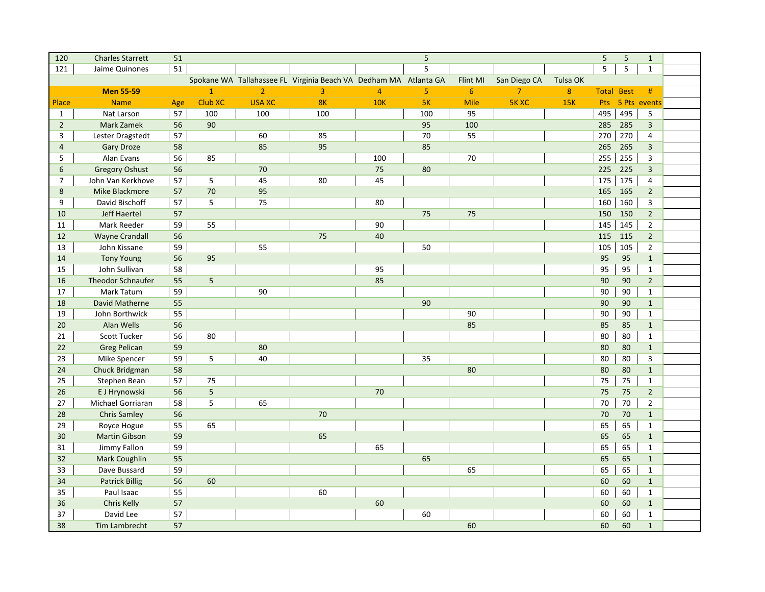| 120            | <b>Charles Starrett</b>  | 51  |                |                |                                                                  |                | 5   |                |                |            | 5                 | $\overline{5}$ | $\mathbf{1}$     |  |
|----------------|--------------------------|-----|----------------|----------------|------------------------------------------------------------------|----------------|-----|----------------|----------------|------------|-------------------|----------------|------------------|--|
| 121            | Jaime Quinones           | 51  |                |                |                                                                  |                | 5   |                |                |            | 5                 | 5              | $\mathbf{1}$     |  |
|                |                          |     |                |                | Spokane WA Tallahassee FL Virginia Beach VA Dedham MA Atlanta GA |                |     | Flint MI       | San Diego CA   | Tulsa OK   |                   |                |                  |  |
|                | <b>Men 55-59</b>         |     | $\mathbf{1}$   | $\overline{2}$ | 3                                                                | $\overline{4}$ | 5   | $6\phantom{1}$ | $\overline{7}$ | 8          | <b>Total Best</b> |                | #                |  |
| Place          | <b>Name</b>              | Age | <b>Club XC</b> | <b>USA XC</b>  | 8K                                                               | <b>10K</b>     | 5K  | <b>Mile</b>    | <b>5K XC</b>   | <b>15K</b> |                   |                | Pts 5 Pts events |  |
| $\mathbf{1}$   | Nat Larson               | 57  | 100            | 100            | 100                                                              |                | 100 | 95             |                |            | 495               | 495            | 5                |  |
| $\overline{2}$ | Mark Zamek               | 56  | 90             |                |                                                                  |                | 95  | 100            |                |            | 285               | 285            | 3                |  |
| 3              | Lester Dragstedt         | 57  |                | 60             | 85                                                               |                | 70  | 55             |                |            | 270               | 270            | $\overline{4}$   |  |
| $\overline{4}$ | <b>Gary Droze</b>        | 58  |                | 85             | 95                                                               |                | 85  |                |                |            | 265               | 265            | $\overline{3}$   |  |
| 5              | Alan Evans               | 56  | 85             |                |                                                                  | 100            |     | 70             |                |            | 255               | 255            | 3                |  |
| 6              | <b>Gregory Oshust</b>    | 56  |                | 70             |                                                                  | 75             | 80  |                |                |            | 225               | 225            | 3                |  |
| $\overline{7}$ | John Van Kerkhove        | 57  | 5              | 45             | 80                                                               | 45             |     |                |                |            | 175               | 175            | $\overline{4}$   |  |
| 8              | Mike Blackmore           | 57  | 70             | 95             |                                                                  |                |     |                |                |            | 165               | 165            | $2^{\circ}$      |  |
| 9              | David Bischoff           | 57  | 5              | 75             |                                                                  | 80             |     |                |                |            | 160               | 160            | 3                |  |
| 10             | Jeff Haertel             | 57  |                |                |                                                                  |                | 75  | 75             |                |            | 150               | 150            | $\overline{2}$   |  |
| 11             | Mark Reeder              | 59  | 55             |                |                                                                  | 90             |     |                |                |            | 145               | 145            | $\overline{2}$   |  |
| 12             | <b>Wayne Crandall</b>    | 56  |                |                | 75                                                               | 40             |     |                |                |            | 115               | 115            | $\overline{2}$   |  |
| 13             | John Kissane             | 59  |                | 55             |                                                                  |                | 50  |                |                |            | 105               | 105            | $\mathbf{2}$     |  |
| 14             | <b>Tony Young</b>        | 56  | 95             |                |                                                                  |                |     |                |                |            | 95                | 95             | $\mathbf{1}$     |  |
| 15             | John Sullivan            | 58  |                |                |                                                                  | 95             |     |                |                |            | 95                | 95             | $\mathbf{1}$     |  |
| 16             | <b>Theodor Schnaufer</b> | 55  | 5              |                |                                                                  | 85             |     |                |                |            | 90                | 90             | $\overline{2}$   |  |
| 17             | Mark Tatum               | 59  |                | 90             |                                                                  |                |     |                |                |            | 90                | 90             | $\mathbf{1}$     |  |
| 18             | David Matherne           | 55  |                |                |                                                                  |                | 90  |                |                |            | 90                | 90             | $\mathbf{1}$     |  |
| 19             | John Borthwick           | 55  |                |                |                                                                  |                |     | 90             |                |            | 90                | 90             | $\mathbf{1}$     |  |
| 20             | Alan Wells               | 56  |                |                |                                                                  |                |     | 85             |                |            | 85                | 85             | $\mathbf{1}$     |  |
| 21             | Scott Tucker             | 56  | 80             |                |                                                                  |                |     |                |                |            | 80                | 80             | $\mathbf{1}$     |  |
| 22             | <b>Greg Pelican</b>      | 59  |                | 80             |                                                                  |                |     |                |                |            | 80                | 80             | $\mathbf{1}$     |  |
| 23             | Mike Spencer             | 59  | 5              | 40             |                                                                  |                | 35  |                |                |            | 80                | 80             | 3                |  |
| 24             | Chuck Bridgman           | 58  |                |                |                                                                  |                |     | 80             |                |            | 80                | 80             | $\mathbf{1}$     |  |
| 25             | Stephen Bean             | 57  | 75             |                |                                                                  |                |     |                |                |            | 75                | 75             | $\mathbf{1}$     |  |
| 26             | E J Hrynowski            | 56  | 5              |                |                                                                  | 70             |     |                |                |            | 75                | 75             | $\overline{2}$   |  |
| 27             | Michael Gorriaran        | 58  | 5              | 65             |                                                                  |                |     |                |                |            | 70                | 70             | $\overline{2}$   |  |
| 28             | <b>Chris Samley</b>      | 56  |                |                | 70                                                               |                |     |                |                |            | 70                | 70             | $\mathbf{1}$     |  |
| 29             | Royce Hogue              | 55  | 65             |                |                                                                  |                |     |                |                |            | 65                | 65             | $\mathbf{1}$     |  |
| 30             | <b>Martin Gibson</b>     | 59  |                |                | 65                                                               |                |     |                |                |            | 65                | 65             | $\mathbf{1}$     |  |
| 31             | Jimmy Fallon             | 59  |                |                |                                                                  | 65             |     |                |                |            | 65                | 65             | $\mathbf{1}$     |  |
| 32             | Mark Coughlin            | 55  |                |                |                                                                  |                | 65  |                |                |            | 65                | 65             | $\mathbf{1}$     |  |
| 33             | Dave Bussard             | 59  |                |                |                                                                  |                |     | 65             |                |            | 65                | 65             | $\mathbf{1}$     |  |
| 34             | <b>Patrick Billig</b>    | 56  | 60             |                |                                                                  |                |     |                |                |            | 60                | 60             | $\mathbf{1}$     |  |
| 35             | Paul Isaac               | 55  |                |                | 60                                                               |                |     |                |                |            | 60                | 60             | $\mathbf{1}$     |  |
| 36             | Chris Kelly              | 57  |                |                |                                                                  | 60             |     |                |                |            | 60                | 60             | $\mathbf{1}$     |  |
| 37             | David Lee                | 57  |                |                |                                                                  |                | 60  |                |                |            | 60                | 60             | $\mathbf{1}$     |  |
| 38             | Tim Lambrecht            | 57  |                |                |                                                                  |                |     | 60             |                |            | 60                | 60             | $\mathbf{1}$     |  |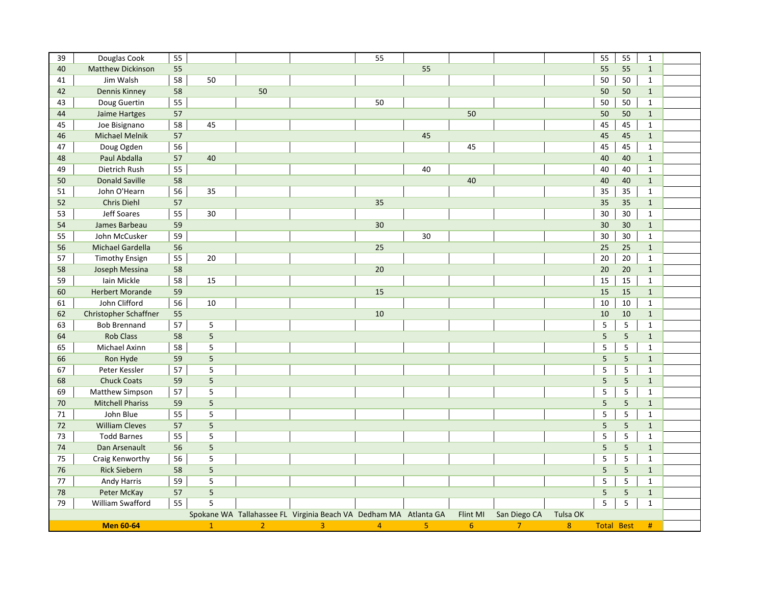| 39 | Douglas Cook             | 55 |                |                |                                                                  | 55             |                |          |                | 55         | 55                | $\mathbf{1}$ |  |
|----|--------------------------|----|----------------|----------------|------------------------------------------------------------------|----------------|----------------|----------|----------------|------------|-------------------|--------------|--|
| 40 | <b>Matthew Dickinson</b> | 55 |                |                |                                                                  |                | 55             |          |                | 55         | 55                | $\mathbf{1}$ |  |
| 41 | Jim Walsh                | 58 | 50             |                |                                                                  |                |                |          |                | 50         | 50                | $\mathbf{1}$ |  |
| 42 | <b>Dennis Kinney</b>     | 58 |                | 50             |                                                                  |                |                |          |                | 50         | 50                | $\mathbf{1}$ |  |
| 43 | Doug Guertin             | 55 |                |                |                                                                  | 50             |                |          |                | 50         | 50                | $\mathbf{1}$ |  |
| 44 | Jaime Hartges            | 57 |                |                |                                                                  |                |                | 50       |                | 50         | 50                | $\mathbf{1}$ |  |
| 45 | Joe Bisignano            | 58 | 45             |                |                                                                  |                |                |          |                | 45         | 45                | $\mathbf 1$  |  |
| 46 | <b>Michael Melnik</b>    | 57 |                |                |                                                                  |                | 45             |          |                | 45         | 45                | $\mathbf{1}$ |  |
| 47 | Doug Ogden               | 56 |                |                |                                                                  |                |                | 45       |                | 45         | 45                | $\mathbf{1}$ |  |
| 48 | Paul Abdalla             | 57 | 40             |                |                                                                  |                |                |          |                | 40         | 40                | $\mathbf{1}$ |  |
| 49 | Dietrich Rush            | 55 |                |                |                                                                  |                | 40             |          |                | 40         | 40                | $\mathbf{1}$ |  |
| 50 | <b>Donald Saville</b>    | 58 |                |                |                                                                  |                |                | 40       |                | 40         | 40                | $\mathbf{1}$ |  |
| 51 | John O'Hearn             | 56 | 35             |                |                                                                  |                |                |          |                | 35         | 35                | $\mathbf{1}$ |  |
| 52 | Chris Diehl              | 57 |                |                |                                                                  | 35             |                |          |                | 35         | 35                | $\mathbf{1}$ |  |
| 53 | Jeff Soares              | 55 | 30             |                |                                                                  |                |                |          |                | 30         | 30                | $\mathbf{1}$ |  |
| 54 | James Barbeau            | 59 |                |                |                                                                  | 30             |                |          |                | 30         | 30                | $\mathbf 1$  |  |
| 55 | John McCusker            | 59 |                |                |                                                                  |                | 30             |          |                | 30         | 30                | $\mathbf{1}$ |  |
| 56 | Michael Gardella         | 56 |                |                |                                                                  | 25             |                |          |                | 25         | 25                | $\mathbf{1}$ |  |
| 57 | <b>Timothy Ensign</b>    | 55 | 20             |                |                                                                  |                |                |          |                | 20         | 20                | $\mathbf{1}$ |  |
| 58 | Joseph Messina           | 58 |                |                |                                                                  | 20             |                |          |                | $20\,$     | 20                | $\mathbf{1}$ |  |
| 59 | Iain Mickle              | 58 | 15             |                |                                                                  |                |                |          |                | 15         | 15                | $\mathbf{1}$ |  |
| 60 | <b>Herbert Morande</b>   | 59 |                |                |                                                                  | 15             |                |          |                | 15         | 15                | $\mathbf{1}$ |  |
| 61 | John Clifford            | 56 | 10             |                |                                                                  |                |                |          |                | 10         | 10                | $\mathbf 1$  |  |
| 62 | Christopher Schaffner    | 55 |                |                |                                                                  | 10             |                |          |                | 10         | 10                | $\mathbf{1}$ |  |
| 63 | <b>Bob Brennand</b>      | 57 | $\mathsf S$    |                |                                                                  |                |                |          |                | 5          | $\mathsf S$       | $\mathbf{1}$ |  |
| 64 | <b>Rob Class</b>         | 58 | 5              |                |                                                                  |                |                |          |                | $\sqrt{5}$ | $\sqrt{5}$        | $\mathbf{1}$ |  |
| 65 | Michael Axinn            | 58 | 5              |                |                                                                  |                |                |          |                | 5          | 5                 | 1            |  |
| 66 | Ron Hyde                 | 59 | $\overline{5}$ |                |                                                                  |                |                |          |                | 5          | $5\phantom{a}$    | $\mathbf{1}$ |  |
| 67 | Peter Kessler            | 57 | $\mathsf S$    |                |                                                                  |                |                |          |                | 5          | 5                 | $\mathbf{1}$ |  |
| 68 | <b>Chuck Coats</b>       | 59 | 5              |                |                                                                  |                |                |          |                | $\sqrt{5}$ | 5                 | $\mathbf{1}$ |  |
| 69 | Matthew Simpson          | 57 | 5              |                |                                                                  |                |                |          |                | 5          | $\overline{5}$    | $\mathbf{1}$ |  |
| 70 | <b>Mitchell Phariss</b>  | 59 | 5              |                |                                                                  |                |                |          |                | 5          | 5                 | $\mathbf{1}$ |  |
| 71 | John Blue                | 55 | 5              |                |                                                                  |                |                |          |                | 5          | 5                 | $\mathbf{1}$ |  |
| 72 | <b>William Cleves</b>    | 57 | 5              |                |                                                                  |                |                |          |                | 5          | $5\phantom{a}$    | $\mathbf{1}$ |  |
| 73 | <b>Todd Barnes</b>       | 55 | 5              |                |                                                                  |                |                |          |                | 5          | $\sqrt{5}$        | $\mathbf{1}$ |  |
| 74 | Dan Arsenault            | 56 | 5              |                |                                                                  |                |                |          |                | 5          | $5\phantom{a}$    | $\mathbf{1}$ |  |
| 75 | Craig Kenworthy          | 56 | 5              |                |                                                                  |                |                |          |                | 5          | 5                 | $\mathbf{1}$ |  |
| 76 | <b>Rick Siebern</b>      | 58 | 5              |                |                                                                  |                |                |          |                | 5          | 5                 | $\mathbf{1}$ |  |
| 77 | Andy Harris              | 59 | 5              |                |                                                                  |                |                |          |                | 5          | 5                 | $\mathbf{1}$ |  |
| 78 | Peter McKay              | 57 | 5              |                |                                                                  |                |                |          |                | 5          | $5\phantom{a}$    | $\mathbf{1}$ |  |
| 79 | William Swafford         | 55 | 5              |                |                                                                  |                |                |          |                | 5          | 5                 | $\mathbf{1}$ |  |
|    |                          |    |                |                | Spokane WA Tallahassee FL Virginia Beach VA Dedham MA Atlanta GA |                |                | Flint MI | San Diego CA   | Tulsa OK   |                   |              |  |
|    | <b>Men 60-64</b>         |    | $\mathbf{1}$   | $\overline{2}$ | $\overline{3}$                                                   | $\overline{4}$ | $\overline{5}$ | 6        | $\overline{7}$ | 8          | <b>Total Best</b> | #            |  |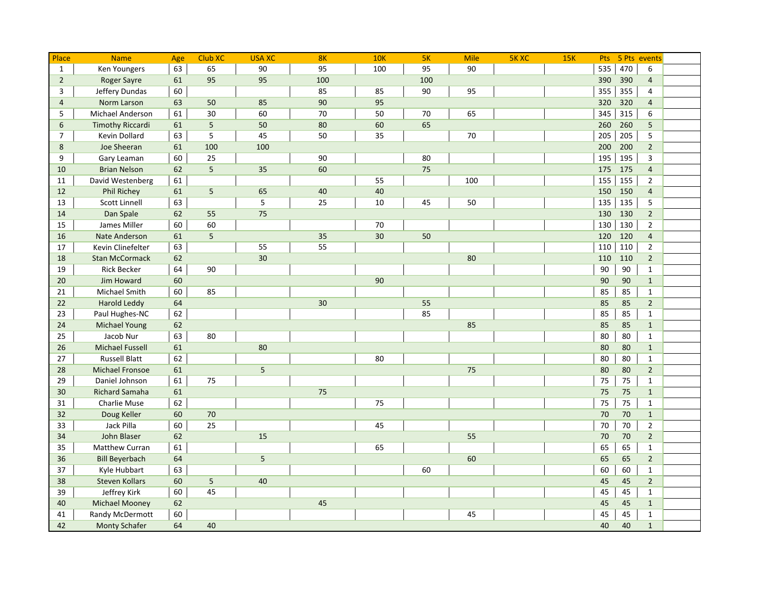| Place          | <b>Name</b>             | Age | Club XC    | <b>USA XC</b> | 8K  | <b>10K</b> | 5K  | <b>Mile</b> | <b>5K XC</b> | <b>15K</b> | Pts |     | 5 Pts events   |  |
|----------------|-------------------------|-----|------------|---------------|-----|------------|-----|-------------|--------------|------------|-----|-----|----------------|--|
| $\mathbf{1}$   | <b>Ken Youngers</b>     | 63  | 65         | 90            | 95  | 100        | 95  | 90          |              |            | 535 | 470 | 6              |  |
| $\overline{2}$ | <b>Roger Sayre</b>      | 61  | 95         | 95            | 100 |            | 100 |             |              |            | 390 | 390 | $\overline{4}$ |  |
| 3              | Jeffery Dundas          | 60  |            |               | 85  | 85         | 90  | 95          |              |            | 355 | 355 | $\overline{4}$ |  |
| $\overline{4}$ | Norm Larson             | 63  | 50         | 85            | 90  | 95         |     |             |              |            | 320 | 320 | $\overline{4}$ |  |
| 5              | Michael Anderson        | 61  | 30         | 60            | 70  | 50         | 70  | 65          |              |            | 345 | 315 | 6              |  |
| 6              | <b>Timothy Riccardi</b> | 61  | 5          | 50            | 80  | 60         | 65  |             |              |            | 260 | 260 | 5              |  |
| $\overline{7}$ | Kevin Dollard           | 63  | 5          | 45            | 50  | 35         |     | 70          |              |            | 205 | 205 | 5              |  |
| 8              | Joe Sheeran             | 61  | 100        | 100           |     |            |     |             |              |            | 200 | 200 | $\overline{2}$ |  |
| 9              | Gary Leaman             | 60  | 25         |               | 90  |            | 80  |             |              |            | 195 | 195 | 3              |  |
| 10             | <b>Brian Nelson</b>     | 62  | $\sqrt{5}$ | 35            | 60  |            | 75  |             |              |            | 175 | 175 | $\overline{4}$ |  |
| 11             | David Westenberg        | 61  |            |               |     | 55         |     | 100         |              |            | 155 | 155 | $\overline{2}$ |  |
| 12             | <b>Phil Richey</b>      | 61  | 5          | 65            | 40  | 40         |     |             |              |            | 150 | 150 | $\overline{4}$ |  |
| 13             | Scott Linnell           | 63  |            | 5             | 25  | 10         | 45  | 50          |              |            | 135 | 135 | 5              |  |
| 14             | Dan Spale               | 62  | 55         | 75            |     |            |     |             |              |            | 130 | 130 | $2^{\circ}$    |  |
| 15             | James Miller            | 60  | 60         |               |     | 70         |     |             |              |            | 130 | 130 | $\overline{2}$ |  |
| 16             | Nate Anderson           | 61  | 5          |               | 35  | 30         | 50  |             |              |            | 120 | 120 | $\overline{4}$ |  |
| 17             | Kevin Clinefelter       | 63  |            | 55            | 55  |            |     |             |              |            | 110 | 110 | $\overline{2}$ |  |
| 18             | <b>Stan McCormack</b>   | 62  |            | 30            |     |            |     | 80          |              |            | 110 | 110 | $\overline{2}$ |  |
| 19             | <b>Rick Becker</b>      | 64  | 90         |               |     |            |     |             |              |            | 90  | 90  | $\mathbf{1}$   |  |
| 20             | Jim Howard              | 60  |            |               |     | 90         |     |             |              |            | 90  | 90  | $\mathbf{1}$   |  |
| 21             | Michael Smith           | 60  | 85         |               |     |            |     |             |              |            | 85  | 85  | $\mathbf{1}$   |  |
| 22             | <b>Harold Leddy</b>     | 64  |            |               | 30  |            | 55  |             |              |            | 85  | 85  | $\overline{2}$ |  |
| 23             | Paul Hughes-NC          | 62  |            |               |     |            | 85  |             |              |            | 85  | 85  | $\mathbf{1}$   |  |
| 24             | <b>Michael Young</b>    | 62  |            |               |     |            |     | 85          |              |            | 85  | 85  | $\mathbf{1}$   |  |
| 25             | Jacob Nur               | 63  | 80         |               |     |            |     |             |              |            | 80  | 80  | $\mathbf{1}$   |  |
| 26             | <b>Michael Fussell</b>  | 61  |            | 80            |     |            |     |             |              |            | 80  | 80  | $\mathbf{1}$   |  |
| 27             | <b>Russell Blatt</b>    | 62  |            |               |     | 80         |     |             |              |            | 80  | 80  | $\mathbf{1}$   |  |
| 28             | <b>Michael Fronsoe</b>  | 61  |            | 5             |     |            |     | 75          |              |            | 80  | 80  | $\overline{2}$ |  |
| 29             | Daniel Johnson          | 61  | 75         |               |     |            |     |             |              |            | 75  | 75  | $\mathbf{1}$   |  |
| 30             | <b>Richard Samaha</b>   | 61  |            |               | 75  |            |     |             |              |            | 75  | 75  | $\mathbf{1}$   |  |
| 31             | Charlie Muse            | 62  |            |               |     | 75         |     |             |              |            | 75  | 75  | $\mathbf{1}$   |  |
| 32             | Doug Keller             | 60  | 70         |               |     |            |     |             |              |            | 70  | 70  | $\mathbf{1}$   |  |
| 33             | Jack Pilla              | 60  | 25         |               |     | 45         |     |             |              |            | 70  | 70  | $\overline{2}$ |  |
| 34             | John Blaser             | 62  |            | 15            |     |            |     | 55          |              |            | 70  | 70  | $\overline{2}$ |  |
| 35             | <b>Matthew Curran</b>   | 61  |            |               |     | 65         |     |             |              |            | 65  | 65  | $\mathbf{1}$   |  |
| 36             | <b>Bill Beyerbach</b>   | 64  |            | 5             |     |            |     | 60          |              |            | 65  | 65  | $\overline{2}$ |  |
| 37             | Kyle Hubbart            | 63  |            |               |     |            | 60  |             |              |            | 60  | 60  | $\mathbf{1}$   |  |
| 38             | <b>Steven Kollars</b>   | 60  | 5          | 40            |     |            |     |             |              |            | 45  | 45  | $\overline{2}$ |  |
| 39             | Jeffrey Kirk            | 60  | 45         |               |     |            |     |             |              |            | 45  | 45  | $\mathbf{1}$   |  |
| 40             | <b>Michael Mooney</b>   | 62  |            |               | 45  |            |     |             |              |            | 45  | 45  | $\mathbf{1}$   |  |
| 41             | Randy McDermott         | 60  |            |               |     |            |     | 45          |              |            | 45  | 45  | $\mathbf{1}$   |  |
| 42             | <b>Monty Schafer</b>    | 64  | 40         |               |     |            |     |             |              |            | 40  | 40  | $\mathbf{1}$   |  |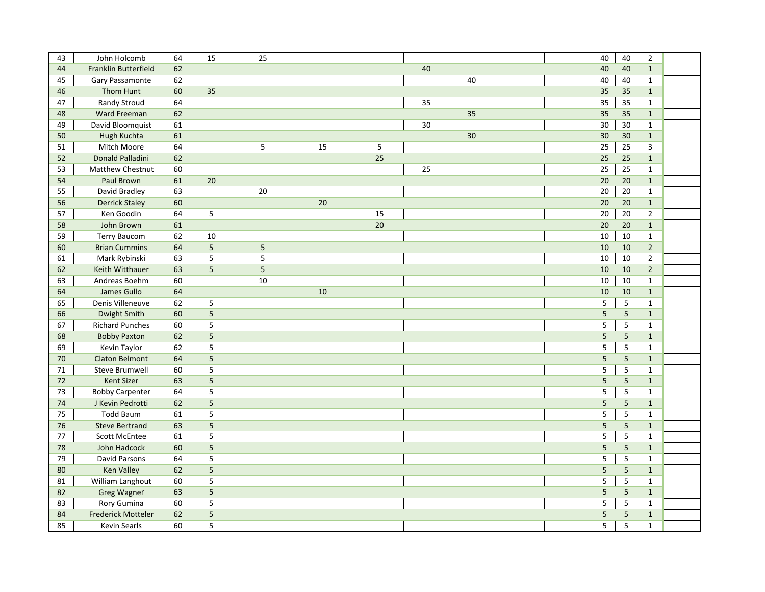| 43 | John Holcomb            | 64 | 15             | 25 |    |    |    |    | 40 | 40              | $\overline{2}$ |  |
|----|-------------------------|----|----------------|----|----|----|----|----|----|-----------------|----------------|--|
| 44 | Franklin Butterfield    | 62 |                |    |    |    | 40 |    | 40 | 40              | $\mathbf{1}$   |  |
| 45 | Gary Passamonte         | 62 |                |    |    |    |    | 40 | 40 | 40              | $\mathbf{1}$   |  |
| 46 | Thom Hunt               | 60 | 35             |    |    |    |    |    | 35 | 35              | $\mathbf{1}$   |  |
| 47 | <b>Randy Stroud</b>     | 64 |                |    |    |    | 35 |    | 35 | 35              | $\mathbf{1}$   |  |
| 48 | Ward Freeman            | 62 |                |    |    |    |    | 35 | 35 | 35              | $\mathbf{1}$   |  |
| 49 | David Bloomquist        | 61 |                |    |    |    | 30 |    | 30 | 30              | $\mathbf{1}$   |  |
| 50 | Hugh Kuchta             | 61 |                |    |    |    |    | 30 | 30 | 30              | $\mathbf 1$    |  |
| 51 | Mitch Moore             | 64 |                | 5  | 15 | 5  |    |    | 25 | 25              | $\overline{3}$ |  |
| 52 | Donald Palladini        | 62 |                |    |    | 25 |    |    | 25 | 25              | $\mathbf{1}$   |  |
| 53 | <b>Matthew Chestnut</b> | 60 |                |    |    |    | 25 |    | 25 | 25              | $\mathbf{1}$   |  |
| 54 | Paul Brown              | 61 | 20             |    |    |    |    |    | 20 | 20              | $\mathbf{1}$   |  |
| 55 | David Bradley           | 63 |                | 20 |    |    |    |    | 20 | 20              | $\mathbf{1}$   |  |
| 56 | <b>Derrick Staley</b>   | 60 |                |    | 20 |    |    |    | 20 | 20              | $\mathbf{1}$   |  |
| 57 | Ken Goodin              | 64 | 5              |    |    | 15 |    |    | 20 | 20              | $\overline{2}$ |  |
| 58 | John Brown              | 61 |                |    |    | 20 |    |    | 20 | 20              | $\mathbf{1}$   |  |
| 59 | <b>Terry Baucom</b>     | 62 | 10             |    |    |    |    |    | 10 | 10              | $\mathbf{1}$   |  |
| 60 | <b>Brian Cummins</b>    | 64 | $\overline{5}$ | 5  |    |    |    |    | 10 | 10              | $\overline{2}$ |  |
| 61 | Mark Rybinski           | 63 | 5              | 5  |    |    |    |    | 10 | 10              | $\overline{2}$ |  |
| 62 | Keith Witthauer         | 63 | 5              | 5  |    |    |    |    | 10 | 10              | $\overline{2}$ |  |
| 63 | Andreas Boehm           | 60 |                | 10 |    |    |    |    | 10 | 10              | $\mathbf{1}$   |  |
| 64 | James Gullo             | 64 |                |    | 10 |    |    |    | 10 | 10              | $\mathbf{1}$   |  |
| 65 | Denis Villeneuve        | 62 | 5              |    |    |    |    |    | 5  | $\overline{5}$  | $\mathbf{1}$   |  |
| 66 | Dwight Smith            | 60 | $\overline{5}$ |    |    |    |    |    | 5  | $5\phantom{.}$  | $\mathbf{1}$   |  |
| 67 | <b>Richard Punches</b>  | 60 | 5              |    |    |    |    |    | 5  | $\overline{5}$  | $\mathbf{1}$   |  |
| 68 | <b>Bobby Paxton</b>     | 62 | 5              |    |    |    |    |    | 5  | $5\phantom{.0}$ | $\mathbf{1}$   |  |
| 69 | Kevin Taylor            | 62 | 5              |    |    |    |    |    | 5  | $\overline{5}$  | $\mathbf{1}$   |  |
| 70 | <b>Claton Belmont</b>   | 64 | 5              |    |    |    |    |    | 5  | $\overline{5}$  | $\mathbf{1}$   |  |
| 71 | <b>Steve Brumwell</b>   | 60 | 5              |    |    |    |    |    | 5  | $\overline{5}$  | $\mathbf{1}$   |  |
| 72 | <b>Kent Sizer</b>       | 63 | $\overline{5}$ |    |    |    |    |    | 5  | $5\phantom{.0}$ | $1\,$          |  |
| 73 | <b>Bobby Carpenter</b>  | 64 | 5              |    |    |    |    |    | 5  | $\overline{5}$  | $\mathbf{1}$   |  |
| 74 | J Kevin Pedrotti        | 62 | 5              |    |    |    |    |    | 5  | $5\phantom{.}$  | $\mathbf{1}$   |  |
| 75 | <b>Todd Baum</b>        | 61 | 5              |    |    |    |    |    | 5  | $\mathsf S$     | $\mathbf{1}$   |  |
| 76 | <b>Steve Bertrand</b>   | 63 | $\overline{5}$ |    |    |    |    |    | 5  | 5               | $\mathbf{1}$   |  |
| 77 | <b>Scott McEntee</b>    | 61 | 5              |    |    |    |    |    | 5  | $\overline{5}$  | $\mathbf{1}$   |  |
| 78 | John Hadcock            | 60 | 5              |    |    |    |    |    | 5  | $5\phantom{.}$  | $\mathbf{1}$   |  |
| 79 | David Parsons           | 64 | 5              |    |    |    |    |    | 5  | $\overline{5}$  | $\mathbf{1}$   |  |
| 80 | <b>Ken Valley</b>       | 62 | 5              |    |    |    |    |    | 5  | 5               | $\mathbf{1}$   |  |
| 81 | William Langhout        | 60 | 5              |    |    |    |    |    | 5  | 5               | $\mathbf{1}$   |  |
| 82 | <b>Greg Wagner</b>      | 63 | 5              |    |    |    |    |    | 5  | $5\phantom{.}$  | $\mathbf{1}$   |  |
| 83 | Rory Gumina             | 60 | 5              |    |    |    |    |    | 5  | 5               | $\mathbf 1$    |  |
| 84 | Frederick Motteler      | 62 | 5              |    |    |    |    |    | 5  | $5\phantom{.}$  | $\mathbf{1}$   |  |
| 85 | Kevin Searls            | 60 | 5              |    |    |    |    |    | 5  | 5               | $\mathbf{1}$   |  |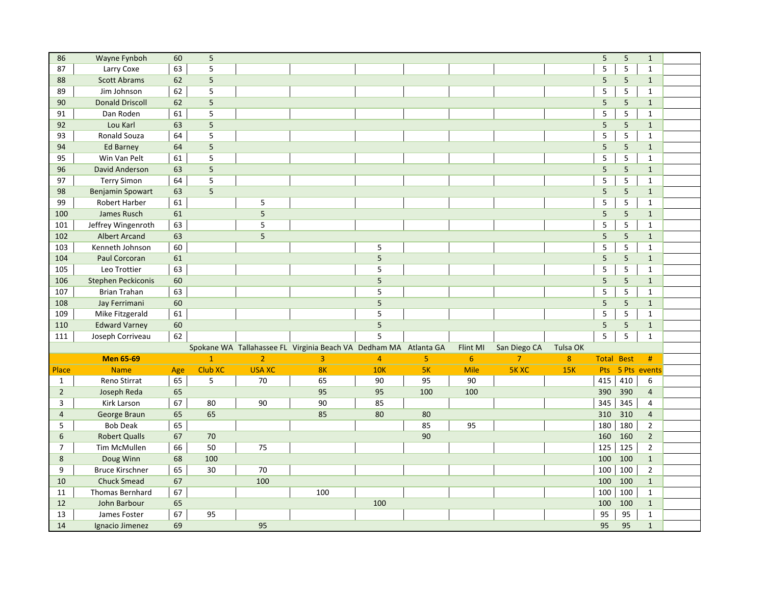| 86             | Wayne Fynboh              | 60       | 5            |                |                                                                  |                |                |             |                |            | 5                 | $\overline{5}$ | $\mathbf{1}$   |  |
|----------------|---------------------------|----------|--------------|----------------|------------------------------------------------------------------|----------------|----------------|-------------|----------------|------------|-------------------|----------------|----------------|--|
| 87             | Larry Coxe                | 63       | 5            |                |                                                                  |                |                |             |                |            | 5                 | 5              | $\mathbf{1}$   |  |
| 88             | <b>Scott Abrams</b>       | 62       | 5            |                |                                                                  |                |                |             |                |            | 5                 | 5              | $\mathbf{1}$   |  |
| 89             | Jim Johnson               | 62       | 5            |                |                                                                  |                |                |             |                |            | 5                 | 5              | $\mathbf{1}$   |  |
| 90             | <b>Donald Driscoll</b>    | 62       | 5            |                |                                                                  |                |                |             |                |            | 5                 | 5              | $\mathbf{1}$   |  |
| 91             | Dan Roden                 | 61       | 5            |                |                                                                  |                |                |             |                |            | 5                 | $\overline{5}$ | $\mathbf{1}$   |  |
| 92             | Lou Karl                  | 63       | 5            |                |                                                                  |                |                |             |                |            | 5                 | $5\phantom{a}$ | $\mathbf{1}$   |  |
| 93             | Ronald Souza              | 64       | 5            |                |                                                                  |                |                |             |                |            | 5                 | 5              | $\mathbf{1}$   |  |
| 94             | <b>Ed Barney</b>          | 64       | 5            |                |                                                                  |                |                |             |                |            | 5                 | $5\phantom{a}$ | $\mathbf{1}$   |  |
| 95             | Win Van Pelt              | 61       | 5            |                |                                                                  |                |                |             |                |            | 5                 | 5              | $\mathbf{1}$   |  |
| 96             | David Anderson            | 63       | 5            |                |                                                                  |                |                |             |                |            | 5                 | $5\phantom{a}$ | $\mathbf{1}$   |  |
| 97             | <b>Terry Simon</b>        | 64       | 5            |                |                                                                  |                |                |             |                |            | 5                 | 5              | $\mathbf{1}$   |  |
| 98             | <b>Benjamin Spowart</b>   | 63       | 5            |                |                                                                  |                |                |             |                |            | 5                 | 5              | $\mathbf{1}$   |  |
| 99             | <b>Robert Harber</b>      | 61       |              | 5              |                                                                  |                |                |             |                |            | 5                 | $\sqrt{5}$     | $\mathbf{1}$   |  |
| 100            | James Rusch               | 61       |              | $\sqrt{5}$     |                                                                  |                |                |             |                |            | 5                 | $\sqrt{5}$     | $\mathbf{1}$   |  |
| 101            | Jeffrey Wingenroth        | 63       |              | 5              |                                                                  |                |                |             |                |            | 5                 | 5              | $\mathbf{1}$   |  |
| 102            | <b>Albert Arcand</b>      | 63       |              | $\overline{5}$ |                                                                  |                |                |             |                |            | 5                 | $5\phantom{a}$ | $\mathbf{1}$   |  |
| 103            | Kenneth Johnson           | 60       |              |                |                                                                  | 5              |                |             |                |            | 5                 | 5              | $\mathbf{1}$   |  |
| 104            | Paul Corcoran             | 61       |              |                |                                                                  | 5              |                |             |                |            | 5                 | $\sqrt{5}$     | $\mathbf{1}$   |  |
| 105            | Leo Trottier              | 63       |              |                |                                                                  | 5              |                |             |                |            | 5                 | 5              | $\mathbf{1}$   |  |
| 106            | <b>Stephen Peckiconis</b> | 60       |              |                |                                                                  | 5              |                |             |                |            | 5                 | $\overline{5}$ | $\mathbf{1}$   |  |
| 107            | <b>Brian Trahan</b>       | 63       |              |                |                                                                  | 5              |                |             |                |            | 5                 | 5              | $\mathbf{1}$   |  |
| 108            | Jay Ferrimani             | 60       |              |                |                                                                  | 5              |                |             |                |            | 5                 | 5              | $\mathbf{1}$   |  |
| 109            | Mike Fitzgerald           | 61       |              |                |                                                                  | 5              |                |             |                |            | 5                 | 5              | $\mathbf{1}$   |  |
| 110            | <b>Edward Varney</b>      | 60       |              |                |                                                                  | 5              |                |             |                |            | 5                 | 5              | $\mathbf{1}$   |  |
| 111            | Joseph Corriveau          | 62       |              |                |                                                                  | 5              |                |             |                |            | 5                 | 5              | $\mathbf{1}$   |  |
|                |                           |          |              |                | Spokane WA Tallahassee FL Virginia Beach VA Dedham MA Atlanta GA |                |                | Flint MI    | San Diego CA   | Tulsa OK   |                   |                |                |  |
|                | <b>Men 65-69</b>          |          | $\mathbf{1}$ | $\overline{2}$ | $\overline{3}$                                                   | $\overline{4}$ | 5 <sub>1</sub> | 6           | $\overline{7}$ | 8          | <b>Total Best</b> |                | #              |  |
| Place          | <b>Name</b>               | Age      | Club XC      | <b>USA XC</b>  | 8K                                                               | 10K            | 5K             | <b>Mile</b> | <b>5K XC</b>   | <b>15K</b> | <b>Pts</b>        |                | 5 Pts events   |  |
| $\mathbf{1}$   | Reno Stirrat              | 65       | 5            | 70             | 65                                                               | 90             | 95             | 90          |                |            | 415               | 410            | 6              |  |
| $\overline{2}$ | Joseph Reda               | 65       |              |                | 95                                                               | 95             | 100            | 100         |                |            | 390               | 390            | $\overline{4}$ |  |
| 3              | Kirk Larson               | 67       | 80           | 90             | 90                                                               | 85             |                |             |                |            | 345               | 345            | $\overline{4}$ |  |
| 4              | George Braun              | 65       | 65           |                | 85                                                               | 80             | 80             |             |                |            | 310               | 310            | $\overline{4}$ |  |
| 5              | <b>Bob Deak</b>           | 65       |              |                |                                                                  |                | 85             | 95          |                |            | 180               | 180            | $\overline{2}$ |  |
| 6              | <b>Robert Qualls</b>      | 67       | 70           |                |                                                                  |                | 90             |             |                |            | 160               | 160            | $\overline{2}$ |  |
| $\overline{7}$ | <b>Tim McMullen</b>       | 66       | 50           | 75             |                                                                  |                |                |             |                |            | 125               | 125            | $\overline{2}$ |  |
| 8              | Doug Winn                 | 68       | 100          |                |                                                                  |                |                |             |                |            | 100               | 100            | $\mathbf{1}$   |  |
| 9              |                           | 65       | 30           | 70             |                                                                  |                |                |             |                |            | 100               | 100            | $\overline{2}$ |  |
|                | <b>Bruce Kirschner</b>    |          |              |                |                                                                  |                |                |             |                |            |                   |                |                |  |
| 10             | <b>Chuck Smead</b>        | 67       |              | 100            |                                                                  |                |                |             |                |            | 100               | 100            | $\mathbf{1}$   |  |
| 11             | Thomas Bernhard           |          |              |                | 100                                                              |                |                |             |                |            |                   |                | $\mathbf{1}$   |  |
| 12             | John Barbour              | 67<br>65 |              |                |                                                                  | 100            |                |             |                |            | 100<br>100        | 100<br>100     | $\mathbf{1}$   |  |
| 13             | James Foster              | 67       | 95           |                |                                                                  |                |                |             |                |            | 95                | 95             | $\mathbf{1}$   |  |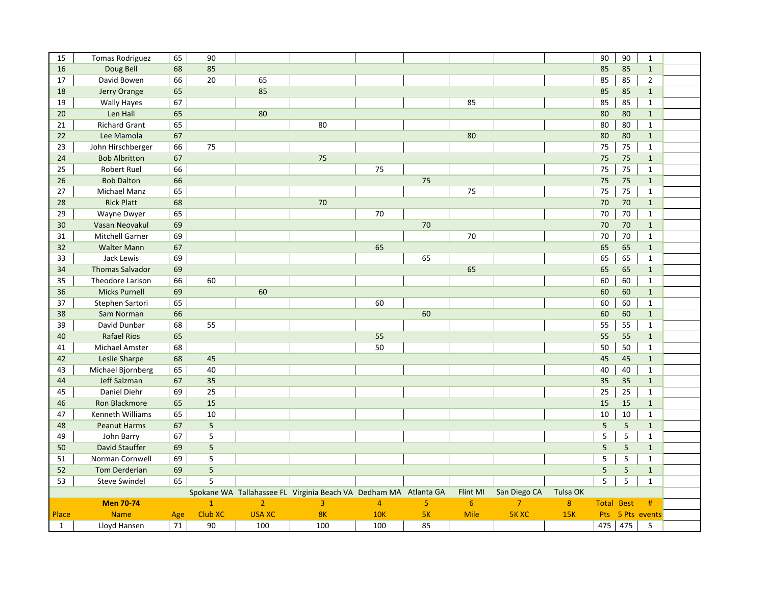| 15           | <b>Tomas Rodriguez</b> | 65  | 90              |                |                                                                  |                |                |             |                |          | 90  | 90                | $\mathbf{1}$     |  |
|--------------|------------------------|-----|-----------------|----------------|------------------------------------------------------------------|----------------|----------------|-------------|----------------|----------|-----|-------------------|------------------|--|
| 16           | Doug Bell              | 68  | 85              |                |                                                                  |                |                |             |                |          | 85  | 85                | $\mathbf{1}$     |  |
| 17           | David Bowen            | 66  | 20              | 65             |                                                                  |                |                |             |                |          | 85  | 85                | $\overline{2}$   |  |
| 18           | Jerry Orange           | 65  |                 | 85             |                                                                  |                |                |             |                |          | 85  | 85                | $\mathbf{1}$     |  |
| 19           | <b>Wally Hayes</b>     | 67  |                 |                |                                                                  |                |                | 85          |                |          | 85  | 85                | $\mathbf{1}$     |  |
| 20           | Len Hall               | 65  |                 | 80             |                                                                  |                |                |             |                |          | 80  | 80                | $\mathbf{1}$     |  |
| 21           | <b>Richard Grant</b>   | 65  |                 |                | 80                                                               |                |                |             |                |          | 80  | 80                | $\mathbf{1}$     |  |
| 22           | Lee Mamola             | 67  |                 |                |                                                                  |                |                | 80          |                |          | 80  | 80                | $\mathbf{1}$     |  |
| 23           | John Hirschberger      | 66  | 75              |                |                                                                  |                |                |             |                |          | 75  | 75                | $\mathbf{1}$     |  |
| 24           | <b>Bob Albritton</b>   | 67  |                 |                | 75                                                               |                |                |             |                |          | 75  | 75                | $\mathbf{1}$     |  |
| 25           | <b>Robert Ruel</b>     | 66  |                 |                |                                                                  | 75             |                |             |                |          | 75  | 75                | $\mathbf{1}$     |  |
| 26           | <b>Bob Dalton</b>      | 66  |                 |                |                                                                  |                | 75             |             |                |          | 75  | 75                | $\mathbf{1}$     |  |
| 27           | Michael Manz           | 65  |                 |                |                                                                  |                |                | 75          |                |          | 75  | 75                | $\mathbf{1}$     |  |
| 28           | <b>Rick Platt</b>      | 68  |                 |                | 70                                                               |                |                |             |                |          | 70  | 70                | $\mathbf{1}$     |  |
| 29           | Wayne Dwyer            | 65  |                 |                |                                                                  | 70             |                |             |                |          | 70  | 70                | $\mathbf{1}$     |  |
| 30           | Vasan Neovakul         | 69  |                 |                |                                                                  |                | 70             |             |                |          | 70  | 70                | $\mathbf{1}$     |  |
| 31           | <b>Mitchell Garner</b> | 69  |                 |                |                                                                  |                |                | 70          |                |          | 70  | 70                | $\mathbf{1}$     |  |
| 32           | <b>Walter Mann</b>     | 67  |                 |                |                                                                  | 65             |                |             |                |          | 65  | 65                | $\mathbf{1}$     |  |
| 33           | Jack Lewis             | 69  |                 |                |                                                                  |                | 65             |             |                |          | 65  | 65                | $\mathbf{1}$     |  |
| 34           | <b>Thomas Salvador</b> | 69  |                 |                |                                                                  |                |                | 65          |                |          | 65  | 65                | $\mathbf{1}$     |  |
| 35           | Theodore Larison       | 66  | 60              |                |                                                                  |                |                |             |                |          | 60  | 60                | $\mathbf{1}$     |  |
| 36           | <b>Micks Purnell</b>   | 69  |                 | 60             |                                                                  |                |                |             |                |          | 60  | 60                | $\mathbf{1}$     |  |
| 37           | Stephen Sartori        | 65  |                 |                |                                                                  | 60             |                |             |                |          | 60  | 60                | $\mathbf{1}$     |  |
| 38           | Sam Norman             | 66  |                 |                |                                                                  |                | 60             |             |                |          | 60  | 60                | $\mathbf{1}$     |  |
| 39           | David Dunbar           | 68  | 55              |                |                                                                  |                |                |             |                |          | 55  | 55                | $\mathbf{1}$     |  |
| 40           | <b>Rafael Rios</b>     | 65  |                 |                |                                                                  | 55             |                |             |                |          | 55  | 55                | $\mathbf{1}$     |  |
| 41           | Michael Amster         | 68  |                 |                |                                                                  | 50             |                |             |                |          | 50  | 50                | $\mathbf{1}$     |  |
| 42           | Leslie Sharpe          | 68  | 45              |                |                                                                  |                |                |             |                |          | 45  | 45                | $\mathbf{1}$     |  |
| 43           | Michael Bjornberg      | 65  | 40              |                |                                                                  |                |                |             |                |          | 40  | 40                | $\mathbf{1}$     |  |
| 44           | Jeff Salzman           | 67  | 35              |                |                                                                  |                |                |             |                |          | 35  | 35                | $\mathbf{1}$     |  |
| 45           | Daniel Diehr           | 69  | 25              |                |                                                                  |                |                |             |                |          | 25  | 25                | $\mathbf{1}$     |  |
| 46           | Ron Blackmore          | 65  | 15              |                |                                                                  |                |                |             |                |          | 15  | 15                | $\mathbf{1}$     |  |
| 47           | Kenneth Williams       | 65  | 10              |                |                                                                  |                |                |             |                |          | 10  | 10                | $\mathbf{1}$     |  |
| 48           | <b>Peanut Harms</b>    | 67  | $5\phantom{.}$  |                |                                                                  |                |                |             |                |          | 5   | $5\phantom{.}$    | $\mathbf{1}$     |  |
| 49           | John Barry             | 67  | 5               |                |                                                                  |                |                |             |                |          | 5   | 5                 | $\mathbf{1}$     |  |
| 50           | David Stauffer         | 69  | $5\phantom{.0}$ |                |                                                                  |                |                |             |                |          | 5   | $5\phantom{.0}$   | $\mathbf{1}$     |  |
| 51           | Norman Cornwell        | 69  | $\overline{5}$  |                |                                                                  |                |                |             |                |          | 5   | 5                 | $\mathbf{1}$     |  |
| 52           | <b>Tom Derderian</b>   | 69  | 5               |                |                                                                  |                |                |             |                |          | 5   | $5\phantom{.}$    | $\mathbf{1}$     |  |
| 53           | <b>Steve Swindel</b>   | 65  | 5               |                |                                                                  |                |                |             |                |          | 5   | 5                 | $\mathbf{1}$     |  |
|              |                        |     |                 |                | Spokane WA Tallahassee FL Virginia Beach VA Dedham MA Atlanta GA |                |                | Flint MI    | San Diego CA   | Tulsa OK |     |                   |                  |  |
|              | <b>Men 70-74</b>       |     | $\mathbf{1}$    | 2 <sup>1</sup> | $\overline{3}$                                                   | $\overline{4}$ | 5 <sub>1</sub> | 6           | 7 <sup>7</sup> | 8        |     | <b>Total Best</b> | #                |  |
| Place        | <b>Name</b>            | Age | Club XC         | <b>USA XC</b>  | 8 <sub>K</sub>                                                   | <b>10K</b>     | 5K             | <b>Mile</b> | <b>5K XC</b>   | 15K      |     |                   | Pts 5 Pts events |  |
| $\mathbf{1}$ | Lloyd Hansen           | 71  | 90              | 100            | 100                                                              | 100            | 85             |             |                |          | 475 | 475               | 5                |  |
|              |                        |     |                 |                |                                                                  |                |                |             |                |          |     |                   |                  |  |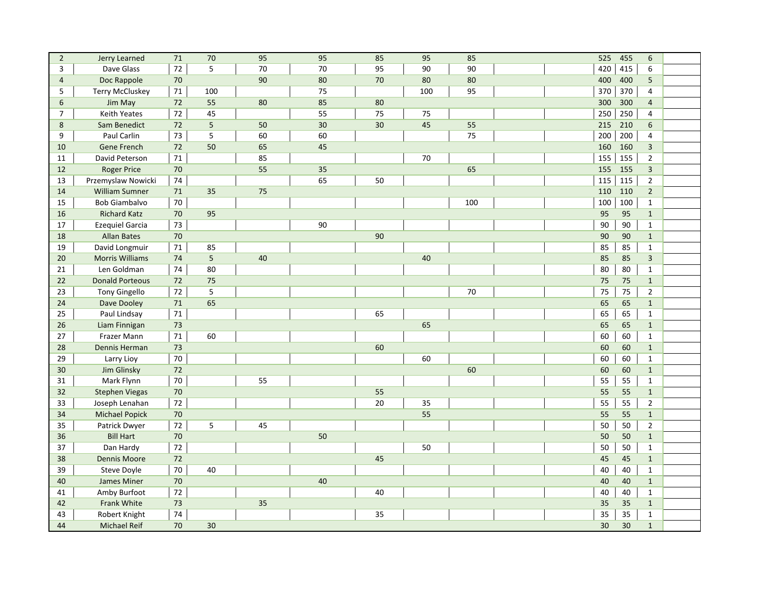| $\overline{2}$ | Jerry Learned          | 71     | 70  | 95 | 95 | 85 | 95  | 85  | 525 | 455 | 6              |  |
|----------------|------------------------|--------|-----|----|----|----|-----|-----|-----|-----|----------------|--|
| 3              | Dave Glass             | 72     | 5   | 70 | 70 | 95 | 90  | 90  | 420 | 415 | 6              |  |
| $\overline{4}$ | Doc Rappole            | 70     |     | 90 | 80 | 70 | 80  | 80  | 400 | 400 | 5              |  |
| 5              | <b>Terry McCluskey</b> | 71     | 100 |    | 75 |    | 100 | 95  | 370 | 370 | $\overline{4}$ |  |
| 6              | Jim May                | 72     | 55  | 80 | 85 | 80 |     |     | 300 | 300 | $\overline{4}$ |  |
| $\overline{7}$ | Keith Yeates           | 72     | 45  |    | 55 | 75 | 75  |     | 250 | 250 | 4              |  |
| 8              | Sam Benedict           | 72     | 5   | 50 | 30 | 30 | 45  | 55  | 215 | 210 | 6              |  |
| 9              | Paul Carlin            | 73     | 5   | 60 | 60 |    |     | 75  | 200 | 200 | 4              |  |
| 10             | Gene French            | 72     | 50  | 65 | 45 |    |     |     | 160 | 160 | $\overline{3}$ |  |
| 11             | David Peterson         | 71     |     | 85 |    |    | 70  |     | 155 | 155 | $\overline{2}$ |  |
| 12             | <b>Roger Price</b>     | 70     |     | 55 | 35 |    |     | 65  | 155 | 155 | 3              |  |
| 13             | Przemyslaw Nowicki     | 74     |     |    | 65 | 50 |     |     | 115 | 115 | $\overline{2}$ |  |
| 14             | <b>William Sumner</b>  | 71     | 35  | 75 |    |    |     |     | 110 | 110 | $\overline{2}$ |  |
| 15             | <b>Bob Giambalvo</b>   | $70\,$ |     |    |    |    |     | 100 | 100 | 100 | $\mathbf{1}$   |  |
| 16             | <b>Richard Katz</b>    | 70     | 95  |    |    |    |     |     | 95  | 95  | $\mathbf{1}$   |  |
| 17             | <b>Ezequiel Garcia</b> | 73     |     |    | 90 |    |     |     | 90  | 90  | $\mathbf{1}$   |  |
| 18             | <b>Allan Bates</b>     | 70     |     |    |    | 90 |     |     | 90  | 90  | $\mathbf{1}$   |  |
| 19             | David Longmuir         | $71\,$ | 85  |    |    |    |     |     | 85  | 85  | $\mathbf{1}$   |  |
| 20             | <b>Morris Williams</b> | 74     | 5   | 40 |    |    | 40  |     | 85  | 85  | 3              |  |
| 21             | Len Goldman            | 74     | 80  |    |    |    |     |     | 80  | 80  | $\mathbf{1}$   |  |
| 22             | <b>Donald Porteous</b> | 72     | 75  |    |    |    |     |     | 75  | 75  | $\mathbf{1}$   |  |
| 23             | <b>Tony Gingello</b>   | 72     | 5   |    |    |    |     | 70  | 75  | 75  | $\overline{2}$ |  |
| 24             | Dave Dooley            | 71     | 65  |    |    |    |     |     | 65  | 65  | $\mathbf{1}$   |  |
| 25             | Paul Lindsay           | 71     |     |    |    | 65 |     |     | 65  | 65  | $\mathbf{1}$   |  |
| 26             | Liam Finnigan          | 73     |     |    |    |    | 65  |     | 65  | 65  | $\mathbf{1}$   |  |
| 27             | Frazer Mann            | 71     | 60  |    |    |    |     |     | 60  | 60  | $\mathbf{1}$   |  |
| 28             | Dennis Herman          | 73     |     |    |    | 60 |     |     | 60  | 60  | $\mathbf{1}$   |  |
| 29             | Larry Lioy             | 70     |     |    |    |    | 60  |     | 60  | 60  | $\mathbf{1}$   |  |
| 30             | Jim Glinsky            | 72     |     |    |    |    |     | 60  | 60  | 60  | $\mathbf{1}$   |  |
| 31             | Mark Flynn             | 70     |     | 55 |    |    |     |     | 55  | 55  | $\mathbf{1}$   |  |
| 32             | <b>Stephen Viegas</b>  | 70     |     |    |    | 55 |     |     | 55  | 55  | $\overline{1}$ |  |
| 33             | Joseph Lenahan         | 72     |     |    |    | 20 | 35  |     | 55  | 55  | $\overline{2}$ |  |
| 34             | <b>Michael Popick</b>  | 70     |     |    |    |    | 55  |     | 55  | 55  | $\mathbf{1}$   |  |
| 35             | Patrick Dwyer          | 72     | 5   | 45 |    |    |     |     | 50  | 50  | $\overline{2}$ |  |
| 36             | <b>Bill Hart</b>       | 70     |     |    | 50 |    |     |     | 50  | 50  | $\mathbf{1}$   |  |
| 37             | Dan Hardy              | 72     |     |    |    |    | 50  |     | 50  | 50  | $\mathbf{1}$   |  |
| 38             | <b>Dennis Moore</b>    | 72     |     |    |    | 45 |     |     | 45  | 45  | $\mathbf{1}$   |  |
| 39             | Steve Doyle            | 70     | 40  |    |    |    |     |     | 40  | 40  | $\mathbf{1}$   |  |
| 40             | James Miner            | 70     |     |    | 40 |    |     |     | 40  | 40  | $\mathbf{1}$   |  |
| 41             | Amby Burfoot           | 72     |     |    |    | 40 |     |     | 40  | 40  | $\mathbf{1}$   |  |
| 42             | Frank White            | 73     |     | 35 |    |    |     |     | 35  | 35  | $\mathbf{1}$   |  |
| 43             | Robert Knight          | 74     |     |    |    | 35 |     |     | 35  | 35  | $\mathbf{1}$   |  |
| 44             | <b>Michael Reif</b>    | 70     | 30  |    |    |    |     |     | 30  | 30  | $\mathbf{1}$   |  |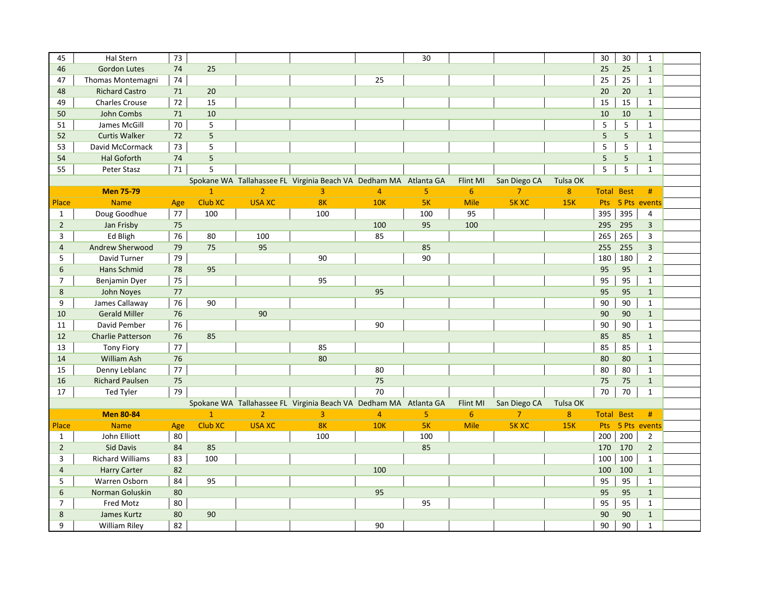| 45             | Hal Stern                | 73     |                |                |                                                                  |                | 30  |                |                |                  | 30           | 30             | $\mathbf{1}$            |  |
|----------------|--------------------------|--------|----------------|----------------|------------------------------------------------------------------|----------------|-----|----------------|----------------|------------------|--------------|----------------|-------------------------|--|
| 46             | <b>Gordon Lutes</b>      | 74     | 25             |                |                                                                  |                |     |                |                |                  | 25           | 25             | $\mathbf{1}$            |  |
| 47             | Thomas Montemagni        | $74\,$ |                |                |                                                                  | 25             |     |                |                |                  | 25           | 25             | $\mathbf{1}$            |  |
| 48             | <b>Richard Castro</b>    | 71     | 20             |                |                                                                  |                |     |                |                |                  | 20           | 20             | $\mathbf{1}$            |  |
| 49             | <b>Charles Crouse</b>    | 72     | 15             |                |                                                                  |                |     |                |                |                  | 15           | 15             | $\mathbf{1}$            |  |
| 50             | John Combs               | 71     | 10             |                |                                                                  |                |     |                |                |                  | 10           | 10             | $\mathbf{1}$            |  |
| 51             | James McGill             | 70     | 5              |                |                                                                  |                |     |                |                |                  | 5            | 5              | $\mathbf{1}$            |  |
| 52             | <b>Curtis Walker</b>     | 72     | $5\phantom{.}$ |                |                                                                  |                |     |                |                |                  | 5            | 5 <sup>5</sup> | $\mathbf{1}$            |  |
| 53             | David McCormack          | 73     | 5              |                |                                                                  |                |     |                |                |                  | 5            | 5              | $\mathbf{1}$            |  |
| 54             | <b>Hal Goforth</b>       | 74     | $5\phantom{.}$ |                |                                                                  |                |     |                |                |                  | 5            | 5              | $\mathbf{1}$            |  |
| 55             | Peter Stasz              | 71     | 5              |                |                                                                  |                |     |                |                |                  | 5            | 5              | $\mathbf{1}$            |  |
|                |                          |        |                |                | Spokane WA Tallahassee FL Virginia Beach VA Dedham MA Atlanta GA |                |     | Flint MI       | San Diego CA   | Tulsa OK         |              |                |                         |  |
|                | <b>Men 75-79</b>         |        | $\mathbf{1}$   | $\overline{2}$ | $\overline{3}$                                                   | $\overline{4}$ | 5   | 6              | $\overline{7}$ | 8 <sup>°</sup>   | <b>Total</b> | <b>Best</b>    | #                       |  |
| Place          | <b>Name</b>              | Age    | <b>Club XC</b> | <b>USA XC</b>  | 8K                                                               | <b>10K</b>     | 5K  | <b>Mile</b>    | <b>5K XC</b>   | <b>15K</b>       | Pts          |                | 5 Pts events            |  |
| $\mathbf{1}$   | Doug Goodhue             | 77     | 100            |                | 100                                                              |                | 100 | 95             |                |                  | 395          | 395            | 4                       |  |
| $\overline{2}$ | Jan Frisby               | 75     |                |                |                                                                  | 100            | 95  | 100            |                |                  | 295          | 295            | $\overline{\mathbf{3}}$ |  |
| 3              | Ed Bligh                 | 76     | 80             | 100            |                                                                  | 85             |     |                |                |                  | 265          | 265            | 3                       |  |
| $\overline{4}$ | Andrew Sherwood          | 79     | 75             | 95             |                                                                  |                | 85  |                |                |                  | 255          | 255            | $\overline{3}$          |  |
| 5              | David Turner             | 79     |                |                | 90                                                               |                | 90  |                |                |                  | 180          | 180            | $\overline{2}$          |  |
| 6              | Hans Schmid              | 78     | 95             |                |                                                                  |                |     |                |                |                  | 95           | 95             | $\mathbf{1}$            |  |
| $\overline{7}$ | Benjamin Dyer            | 75     |                |                | 95                                                               |                |     |                |                |                  | 95           | 95             | $\mathbf{1}$            |  |
| 8              | John Noyes               | 77     |                |                |                                                                  | 95             |     |                |                |                  | 95           | 95             | $\mathbf{1}$            |  |
| 9              | James Callaway           | 76     | 90             |                |                                                                  |                |     |                |                |                  | 90           | 90             | $\mathbf{1}$            |  |
| 10             | <b>Gerald Miller</b>     | 76     |                | 90             |                                                                  |                |     |                |                |                  | 90           | 90             | $\mathbf{1}$            |  |
| 11             | David Pember             | 76     |                |                |                                                                  | 90             |     |                |                |                  | 90           | 90             | $\mathbf{1}$            |  |
| 12             | <b>Charlie Patterson</b> | 76     | 85             |                |                                                                  |                |     |                |                |                  | 85           | 85             | $\mathbf{1}$            |  |
| 13             | <b>Tony Fiory</b>        | 77     |                |                | 85                                                               |                |     |                |                |                  | 85           | 85             | $\mathbf{1}$            |  |
| 14             | William Ash              | 76     |                |                | 80                                                               |                |     |                |                |                  | 80           | 80             | $\mathbf{1}$            |  |
| 15             | Denny Leblanc            | 77     |                |                |                                                                  | 80             |     |                |                |                  | 80           | 80             | $\mathbf{1}$            |  |
| 16             | <b>Richard Paulsen</b>   | 75     |                |                |                                                                  | 75             |     |                |                |                  | 75           | 75             | $\mathbf{1}$            |  |
| 17             | Ted Tyler                | 79     |                |                |                                                                  | 70             |     |                |                |                  | 70           | 70             | $\mathbf{1}$            |  |
|                |                          |        |                |                | Spokane WA Tallahassee FL Virginia Beach VA Dedham MA Atlanta GA |                |     | Flint MI       | San Diego CA   | Tulsa OK         |              |                |                         |  |
|                | <b>Men 80-84</b>         |        | $\overline{1}$ | $\overline{2}$ | $\overline{3}$                                                   | $\overline{4}$ | 5   | $6\phantom{1}$ | 7 <sup>1</sup> | $\boldsymbol{8}$ | <b>Total</b> | <b>Best</b>    | #                       |  |
| Place          | <b>Name</b>              | Age    | Club XC        | <b>USA XC</b>  | 8K                                                               | <b>10K</b>     | 5K  | <b>Mile</b>    | <b>5K XC</b>   | 15K              |              |                | Pts 5 Pts events        |  |
| $\mathbf{1}$   | John Elliott             | 80     |                |                | 100                                                              |                | 100 |                |                |                  | 200          | 200            | $\overline{2}$          |  |
| $\overline{2}$ | Sid Davis                | 84     | 85             |                |                                                                  |                | 85  |                |                |                  | 170          | 170            | $\overline{2}$          |  |
| 3              | <b>Richard Williams</b>  | 83     | 100            |                |                                                                  |                |     |                |                |                  | 100          | 100            | $\mathbf{1}$            |  |
| $\overline{4}$ | <b>Harry Carter</b>      | 82     |                |                |                                                                  | 100            |     |                |                |                  | 100          | 100            | $\mathbf{1}$            |  |
| 5              | Warren Osborn            | 84     | 95             |                |                                                                  |                |     |                |                |                  | 95           | 95             | $\mathbf{1}$            |  |
| 6              | Norman Goluskin          | 80     |                |                |                                                                  | 95             |     |                |                |                  | 95           | 95             | $\mathbf{1}$            |  |
| $\overline{7}$ | Fred Motz                | 80     |                |                |                                                                  |                | 95  |                |                |                  | 95           | 95             | $\mathbf{1}$            |  |
| 8              | James Kurtz              | 80     | 90             |                |                                                                  |                |     |                |                |                  | 90           | 90             | $\mathbf{1}$            |  |
| 9              | <b>William Riley</b>     | 82     |                |                |                                                                  | 90             |     |                |                |                  | 90           | 90             | $\mathbf{1}$            |  |